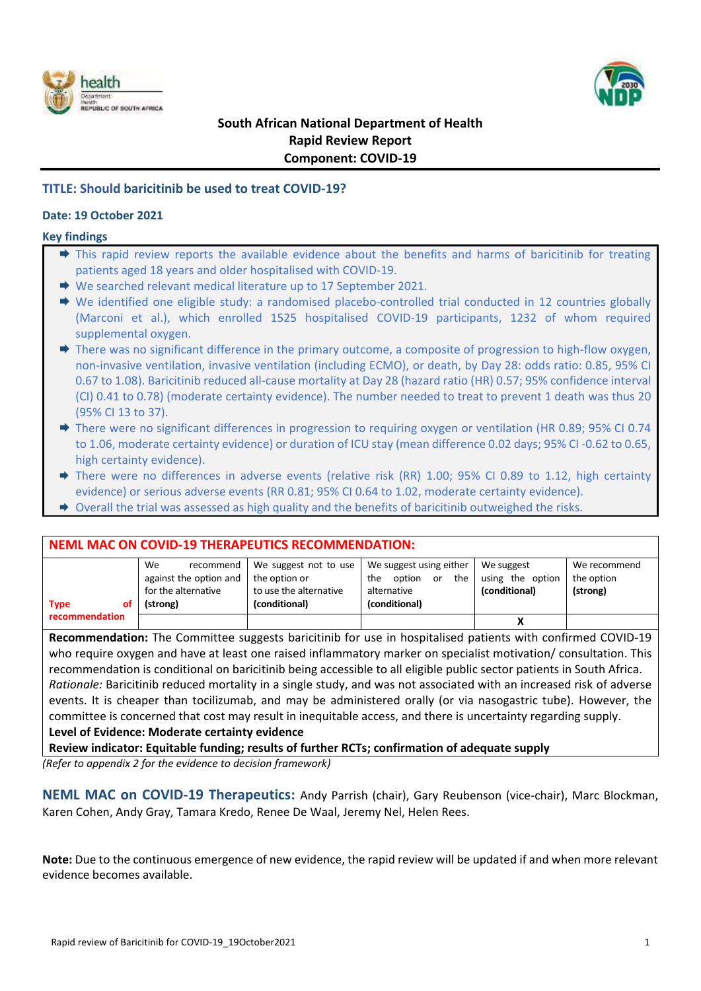



## **South African National Department of Health Rapid Review Report Component: COVID-19**

## **TITLE: Should baricitinib be used to treat COVID-19?**

#### **Date: 19 October 2021**

#### **Key findings**

- $\Rightarrow$  This rapid review reports the available evidence about the benefits and harms of baricitinib for treating patients aged 18 years and older hospitalised with COVID-19.
- ◆ We searched relevant medical literature up to 17 September 2021.
- ◆ We identified one eligible study: a randomised placebo-controlled trial conducted in 12 countries globally (Marconi et al.), which enrolled 1525 hospitalised COVID-19 participants, 1232 of whom required supplemental oxygen.
- $\rightarrow$  There was no significant difference in the primary outcome, a composite of progression to high-flow oxygen, non-invasive ventilation, invasive ventilation (including ECMO), or death, by Day 28: odds ratio: 0.85, 95% CI 0.67 to 1.08). Baricitinib reduced all-cause mortality at Day 28 (hazard ratio (HR) 0.57; 95% confidence interval (CI) 0.41 to 0.78) (moderate certainty evidence). The number needed to treat to prevent 1 death was thus 20 (95% CI 13 to 37).
- → There were no significant differences in progression to requiring oxygen or ventilation (HR 0.89; 95% CI 0.74 to 1.06, moderate certainty evidence) or duration of ICU stay (mean difference 0.02 days; 95% CI -0.62 to 0.65, high certainty evidence).
- → There were no differences in adverse events (relative risk (RR) 1.00; 95% CI 0.89 to 1.12, high certainty evidence) or serious adverse events (RR 0.81; 95% CI 0.64 to 1.02, moderate certainty evidence).
- $\rightarrow$  Overall the trial was assessed as high quality and the benefits of baricitinib outweighed the risks.

#### **NEML MAC ON COVID-19 THERAPEUTICS RECOMMENDATION:**

| οf<br><b>Type</b> | We<br>recommend<br>against the option and<br>for the alternative<br>(strong) | the option or<br>to use the alternative<br>(conditional) | We suggest not to use   We suggest using either<br>the<br>option<br>the<br>or<br>alternative<br>(conditional) | We suggest<br>using the option<br>(conditional) | We recommend<br>the option<br>(strong) |
|-------------------|------------------------------------------------------------------------------|----------------------------------------------------------|---------------------------------------------------------------------------------------------------------------|-------------------------------------------------|----------------------------------------|
| recommendation    |                                                                              |                                                          |                                                                                                               |                                                 |                                        |

**Recommendation:** The Committee suggests baricitinib for use in hospitalised patients with confirmed COVID-19 who require oxygen and have at least one raised inflammatory marker on specialist motivation/ consultation. This recommendation is conditional on baricitinib being accessible to all eligible public sector patients in South Africa. *Rationale:* Baricitinib reduced mortality in a single study, and was not associated with an increased risk of adverse events. It is cheaper than tocilizumab, and may be administered orally (or via nasogastric tube). However, the committee is concerned that cost may result in inequitable access, and there is uncertainty regarding supply. **Level of Evidence: Moderate certainty evidence**

**Review indicator: Equitable funding; results of further RCTs; confirmation of adequate supply**

*(Refer to appendix 2 for the evidence to decision framework)*

**NEML MAC on COVID-19 Therapeutics:** Andy Parrish (chair), Gary Reubenson (vice-chair), Marc Blockman, Karen Cohen, Andy Gray, Tamara Kredo, Renee De Waal, Jeremy Nel, Helen Rees.

**Note:** Due to the continuous emergence of new evidence, the rapid review will be updated if and when more relevant evidence becomes available.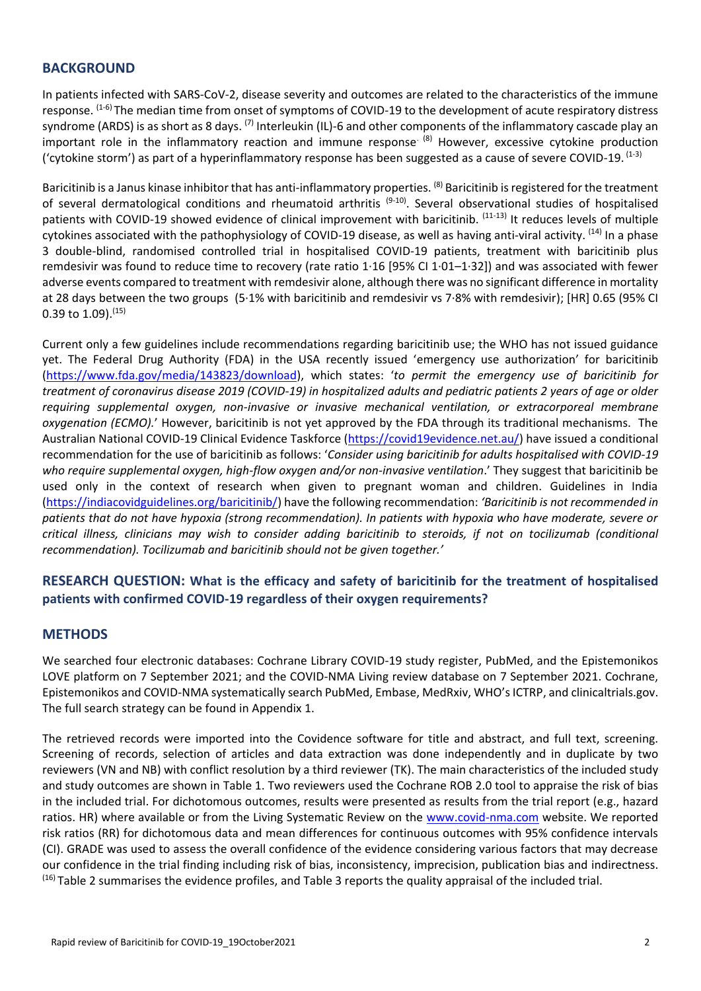## **BACKGROUND**

In patients infected with SARS-CoV-2, disease severity and outcomes are related to the characteristics of the immune response. <sup>(1-6)</sup> The median time from onset of symptoms of COVID-19 to the development of acute respiratory distress syndrome (ARDS) is as short as 8 days. <sup>(7)</sup> Interleukin (IL)-6 and other components of the inflammatory cascade play an important role in the inflammatory reaction and immune response<sup> $(8)$ </sup> However, excessive cytokine production ('cytokine storm') as part of a hyperinflammatory response has been suggested as a cause of severe COVID-19.  $^{(1-3)}$ 

Baricitinib is a Janus kinase inhibitor that has anti-inflammatory properties. <sup>(8)</sup> Baricitinib is registered for the treatment of several dermatological conditions and rheumatoid arthritis<sup> (9-10)</sup>. Several observational studies of hospitalised patients with COVID-19 showed evidence of clinical improvement with baricitinib. <sup>(11-13)</sup> It reduces levels of multiple cytokines associated with the pathophysiology of COVID-19 disease, as well as having anti-viral activity. <sup>(14)</sup> In a phase 3 double-blind, randomised controlled trial in hospitalised COVID-19 patients, treatment with baricitinib plus remdesivir was found to reduce time to recovery (rate ratio 1·16 [95% CI 1·01–1·32]) and was associated with fewer adverse events compared to treatment with remdesivir alone, although there was no significant difference in mortality at 28 days between the two groups (5·1% with baricitinib and remdesivir vs 7·8% with remdesivir); [HR] 0.65 (95% CI 0.39 to 1.09). (15)

Current only a few guidelines include recommendations regarding baricitinib use; the WHO has not issued guidance yet. The Federal Drug Authority (FDA) in the USA recently issued 'emergency use authorization' for baricitinib [\(https://www.fda.gov/media/143823/download\)](https://www.fda.gov/media/143823/download), which states: '*to permit the emergency use of baricitinib for treatment of coronavirus disease 2019 (COVID-19) in hospitalized adults and pediatric patients 2 years of age or older requiring supplemental oxygen, non-invasive or invasive mechanical ventilation, or extracorporeal membrane oxygenation (ECMO).*' However, baricitinib is not yet approved by the FDA through its traditional mechanisms. The Australian National COVID-19 Clinical Evidence Taskforce [\(https://covid19evidence.net.au/\)](https://covid19evidence.net.au/) have issued a conditional recommendation for the use of baricitinib as follows: '*Consider using baricitinib for adults hospitalised with COVID-19*  who require supplemental oxygen, high-flow oxygen and/or non-invasive ventilation.' They suggest that baricitinib be used only in the context of research when given to pregnant woman and children. Guidelines in India [\(https://indiacovidguidelines.org/baricitinib/\)](https://indiacovidguidelines.org/baricitinib/) have the following recommendation: *'Baricitinib is not recommended in patients that do not have hypoxia (strong recommendation). In patients with hypoxia who have moderate, severe or critical illness, clinicians may wish to consider adding baricitinib to steroids, if not on tocilizumab (conditional recommendation). Tocilizumab and baricitinib should not be given together.'*

## **RESEARCH QUESTION: What is the efficacy and safety of baricitinib for the treatment of hospitalised patients with confirmed COVID-19 regardless of their oxygen requirements?**

## **METHODS**

We searched four electronic databases: Cochrane Library COVID-19 study register, PubMed, and the Epistemonikos LOVE platform on 7 September 2021; and the COVID-NMA Living review database on 7 September 2021. Cochrane, Epistemonikos and COVID-NMA systematically search PubMed, Embase, MedRxiv, WHO's ICTRP, and clinicaltrials.gov. The full search strategy can be found in Appendix 1.

The retrieved records were imported into the Covidence software for title and abstract, and full text, screening. Screening of records, selection of articles and data extraction was done independently and in duplicate by two reviewers (VN and NB) with conflict resolution by a third reviewer (TK). The main characteristics of the included study and study outcomes are shown in Table 1. Two reviewers used the Cochrane ROB 2.0 tool to appraise the risk of bias in the included trial. For dichotomous outcomes, results were presented as results from the trial report (e.g., hazard ratios. HR) where available or from the Living Systematic Review on the [www.covid-nma.com](http://www.covid-nma.com/) website. We reported risk ratios (RR) for dichotomous data and mean differences for continuous outcomes with 95% confidence intervals (CI). GRADE was used to assess the overall confidence of the evidence considering various factors that may decrease our confidence in the trial finding including risk of bias, inconsistency, imprecision, publication bias and indirectness. <sup>(16)</sup> Table 2 summarises the evidence profiles, and Table 3 reports the quality appraisal of the included trial.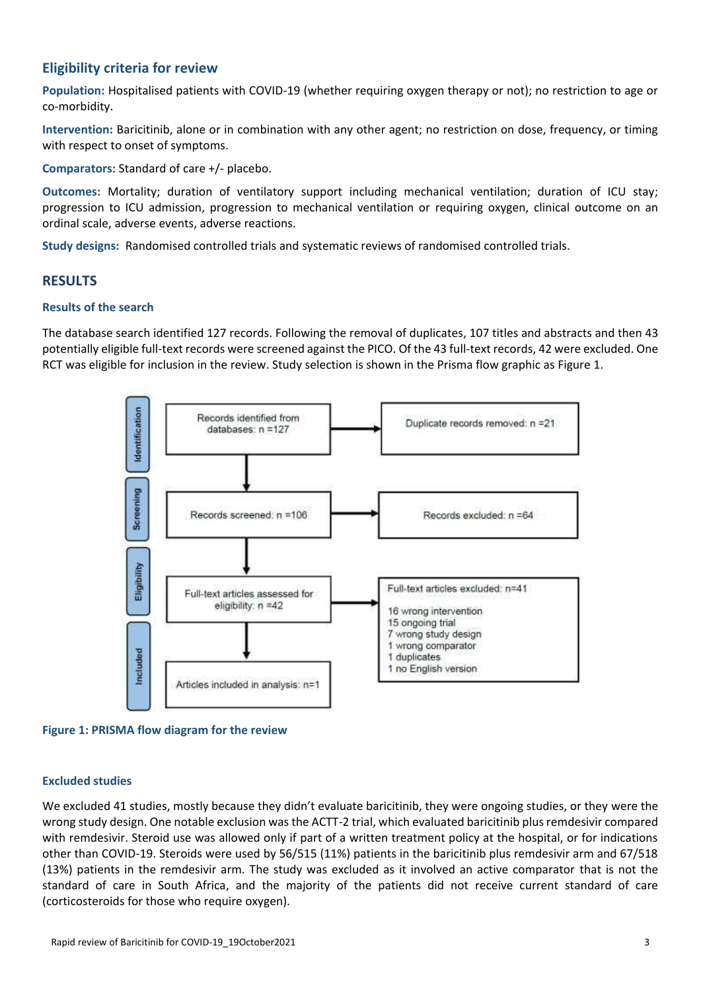## **Eligibility criteria for review**

**Population:** Hospitalised patients with COVID-19 (whether requiring oxygen therapy or not); no restriction to age or co-morbidity.

**Intervention:** Baricitinib, alone or in combination with any other agent; no restriction on dose, frequency, or timing with respect to onset of symptoms.

**Comparators:** Standard of care +/- placebo.

**Outcomes:** Mortality; duration of ventilatory support including mechanical ventilation; duration of ICU stay; progression to ICU admission, progression to mechanical ventilation or requiring oxygen, clinical outcome on an ordinal scale, adverse events, adverse reactions.

**Study designs:** Randomised controlled trials and systematic reviews of randomised controlled trials.

## **RESULTS**

#### **Results of the search**

The database search identified 127 records. Following the removal of duplicates, 107 titles and abstracts and then 43 potentially eligible full-text records were screened against the PICO. Of the 43 full-text records, 42 were excluded. One RCT was eligible for inclusion in the review. Study selection is shown in the Prisma flow graphic as Figure 1.



**Figure 1: PRISMA flow diagram for the review**

#### **Excluded studies**

We excluded 41 studies, mostly because they didn't evaluate baricitinib, they were ongoing studies, or they were the wrong study design. One notable exclusion was the ACTT-2 trial, which evaluated baricitinib plus remdesivir compared with remdesivir. Steroid use was allowed only if part of a written treatment policy at the hospital, or for indications other than COVID-19. Steroids were used by 56/515 (11%) patients in the baricitinib plus remdesivir arm and 67/518 (13%) patients in the remdesivir arm. The study was excluded as it involved an active comparator that is not the standard of care in South Africa, and the majority of the patients did not receive current standard of care (corticosteroids for those who require oxygen).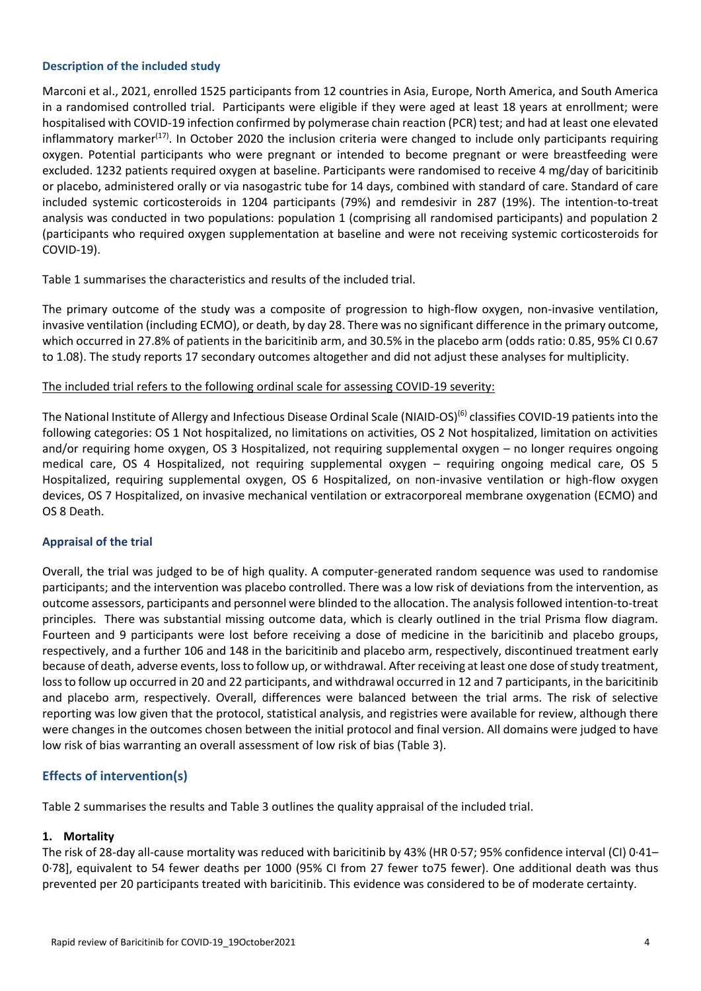#### **Description of the included study**

Marconi et al., 2021, enrolled 1525 participants from 12 countries in Asia, Europe, North America, and South America in a randomised controlled trial. Participants were eligible if they were aged at least 18 years at enrollment; were hospitalised with COVID-19 infection confirmed by polymerase chain reaction (PCR) test; and had at least one elevated inflammatory marker<sup>(17)</sup>. In October 2020 the inclusion criteria were changed to include only participants requiring oxygen. Potential participants who were pregnant or intended to become pregnant or were breastfeeding were excluded. 1232 patients required oxygen at baseline. Participants were randomised to receive 4 mg/day of baricitinib or placebo, administered orally or via nasogastric tube for 14 days, combined with standard of care. Standard of care included systemic corticosteroids in 1204 participants (79%) and remdesivir in 287 (19%). The intention-to-treat analysis was conducted in two populations: population 1 (comprising all randomised participants) and population 2 (participants who required oxygen supplementation at baseline and were not receiving systemic corticosteroids for COVID-19).

Table 1 summarises the characteristics and results of the included trial.

The primary outcome of the study was a composite of progression to high-flow oxygen, non-invasive ventilation, invasive ventilation (including ECMO), or death, by day 28. There was no significant difference in the primary outcome, which occurred in 27.8% of patients in the baricitinib arm, and 30.5% in the placebo arm (odds ratio: 0.85, 95% CI 0.67 to 1.08). The study reports 17 secondary outcomes altogether and did not adjust these analyses for multiplicity.

#### The included trial refers to the following ordinal scale for assessing COVID-19 severity:

The National Institute of Allergy and Infectious Disease Ordinal Scale (NIAID-OS)<sup>(6)</sup> classifies COVID-19 patients into the following categories: OS 1 Not hospitalized, no limitations on activities, OS 2 Not hospitalized, limitation on activities and/or requiring home oxygen, OS 3 Hospitalized, not requiring supplemental oxygen – no longer requires ongoing medical care, OS 4 Hospitalized, not requiring supplemental oxygen – requiring ongoing medical care, OS 5 Hospitalized, requiring supplemental oxygen, OS 6 Hospitalized, on non-invasive ventilation or high-flow oxygen devices, OS 7 Hospitalized, on invasive mechanical ventilation or extracorporeal membrane oxygenation (ECMO) and OS 8 Death.

#### **Appraisal of the trial**

Overall, the trial was judged to be of high quality. A computer-generated random sequence was used to randomise participants; and the intervention was placebo controlled. There was a low risk of deviations from the intervention, as outcome assessors, participants and personnel were blinded to the allocation. The analysis followed intention-to-treat principles. There was substantial missing outcome data, which is clearly outlined in the trial Prisma flow diagram. Fourteen and 9 participants were lost before receiving a dose of medicine in the baricitinib and placebo groups, respectively, and a further 106 and 148 in the baricitinib and placebo arm, respectively, discontinued treatment early because of death, adverse events, loss to follow up, or withdrawal. After receiving at least one dose of study treatment, loss to follow up occurred in 20 and 22 participants, and withdrawal occurred in 12 and 7 participants, in the baricitinib and placebo arm, respectively. Overall, differences were balanced between the trial arms. The risk of selective reporting was low given that the protocol, statistical analysis, and registries were available for review, although there were changes in the outcomes chosen between the initial protocol and final version. All domains were judged to have low risk of bias warranting an overall assessment of low risk of bias (Table 3).

#### **Effects of intervention(s)**

Table 2 summarises the results and Table 3 outlines the quality appraisal of the included trial.

#### **1. Mortality**

The risk of 28-day all-cause mortality was reduced with baricitinib by 43% (HR 0·57; 95% confidence interval (CI) 0·41– 0·78], equivalent to 54 fewer deaths per 1000 (95% CI from 27 fewer to75 fewer). One additional death was thus prevented per 20 participants treated with baricitinib. This evidence was considered to be of moderate certainty.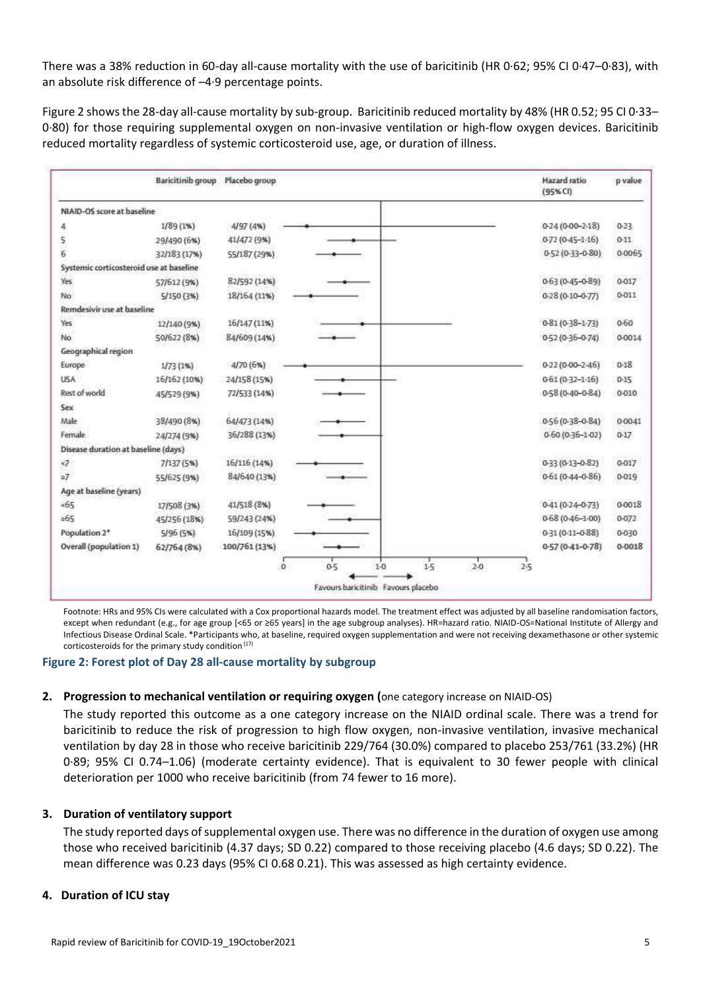There was a 38% reduction in 60-day all-cause mortality with the use of baricitinib (HR 0·62; 95% CI 0·47–0·83), with an absolute risk difference of –4·9 percentage points.

Figure 2 shows the 28-day all-cause mortality by sub-group. Baricitinib reduced mortality by 48% (HR 0.52; 95 CI 0·33– 0·80) for those requiring supplemental oxygen on non-invasive ventilation or high-flow oxygen devices. Baricitinib reduced mortality regardless of systemic corticosteroid use, age, or duration of illness.

|                                         | Baricitinib group | Placebo group | Hazard ratio<br>(95% CI)                | p value    |
|-----------------------------------------|-------------------|---------------|-----------------------------------------|------------|
| NIAID-OS score at baseline              |                   |               |                                         |            |
| 4                                       | 1/89(1%)          | 4/97 (4%)     | $0-24(0-00-2-18)$                       | $0-23$     |
| 5                                       | 29/490 (6%)       | 41/472 (9%)   | $0-72(0-45-1-16)$                       | $0 - 11$   |
| 6                                       | 32/183 (17%)      | 55/187 (29%)  | $0.52(0.33 - 0.80)$                     | 0-0065     |
| Systemic corticosteroid use at baseline |                   |               |                                         |            |
| Yes                                     | 57/612 (9%)       | 82/592 (14%)  | $0.63(0.45 - 0.89)$                     | $0 - 017$  |
| No                                      | 5/150 (3%)        | 18/164 (11%)  | $0-28(0-10-0-77)$                       | 0-011      |
| Remdesivir use at baseline              |                   |               |                                         |            |
| Yes                                     | 12/140 (9%)       | 16/147 (11%)  | $0-81(0-38-1-73)$                       | $0 - 60$   |
| No                                      | 50/622 (8%)       | 84/609 (14%)  | $0.52(0.36 - 0.74)$                     | 0-0014     |
| Geographical region                     |                   |               |                                         |            |
| Europe                                  | 1/73(1%)          | 4/70 (6%)     | $0-22(0-00-2-46)$                       | $0 - 18$   |
| USA                                     | 16/162 (10%)      | 24/158 (15%)  | $0.61(0.32 - 1.16)$                     | $0-15$     |
| Rest of world                           | 45/529 (9%)       | 72/533 (14%)  | 0-58 (0-40-0-84)                        | 0-010      |
| Sex                                     |                   |               |                                         |            |
| Male                                    | 38/490 (8%)       | 64/473 (14%)  | $0.56(0.38 - 0.84)$                     | 0-0041     |
| Female                                  | 24/274 (9%)       | 36/288 (13%)  | $0.60(0.36 - 1.02)$                     | $0-17$     |
| Disease duration at baseline (days)     |                   |               |                                         |            |
| $\epsilon$                              | 7/137 (5%)        | 16/116 (14%)  | $0.33(0.13 - 0.82)$                     | $0 - 017$  |
| $\geq 7$                                | 55/625 (9%)       | 84/640 (13%)  | $0.61(0.44 - 0.86)$                     | 0-019      |
| Age at baseline (years)                 |                   |               |                                         |            |
| 565                                     | 17/508 (3%)       | 41/518 (8%)   | $0.41(0.24 - 0.73)$                     | 0-0018     |
| $=65$                                   | 45/256 (18%)      | 59/243 (24%)  | $0.68(0.46 - 1.00)$                     | 0-072      |
| Population 2*                           | 5/96(5%)          | 16/109 (15%)  | $0.31(0.11 - 0.88)$                     | 0-030      |
| Overall (population 1)                  | 62/764 (8%)       | 100/761 (13%) | $0.57(0.41 - 0.78)$                     | $0 - 0018$ |
|                                         |                   | $^{\circ}$    | $0 - 5$<br>1.5<br>$2-0$<br>$1-0$<br>2.5 |            |
|                                         |                   |               | Favours baricitinib Favours placebo     |            |

Footnote: HRs and 95% CIs were calculated with a Cox proportional hazards model. The treatment effect was adjusted by all baseline randomisation factors, except when redundant (e.g., for age group [<65 or ≥65 years] in the age subgroup analyses). HR=hazard ratio. NIAID-OS=National Institute of Allergy and Infectious Disease Ordinal Scale. \*Participants who, at baseline, required oxygen supplementation and were not receiving dexamethasone or other systemic corticosteroids for the primary study condition (17)

#### **Figure 2: Forest plot of Day 28 all-cause mortality by subgroup**

#### **2. Progression to mechanical ventilation or requiring oxygen (**one category increase on NIAID-OS)

The study reported this outcome as a one category increase on the NIAID ordinal scale. There was a trend for baricitinib to reduce the risk of progression to high flow oxygen, non-invasive ventilation, invasive mechanical ventilation by day 28 in those who receive baricitinib 229/764 (30.0%) compared to placebo 253/761 (33.2%) (HR 0·89; 95% CI 0.74–1.06) (moderate certainty evidence). That is equivalent to 30 fewer people with clinical deterioration per 1000 who receive baricitinib (from 74 fewer to 16 more).

#### **3. Duration of ventilatory support**

The study reported days of supplemental oxygen use. There was no difference in the duration of oxygen use among those who received baricitinib (4.37 days; SD 0.22) compared to those receiving placebo (4.6 days; SD 0.22). The mean difference was 0.23 days (95% CI 0.68 0.21). This was assessed as high certainty evidence.

#### **4. Duration of ICU stay**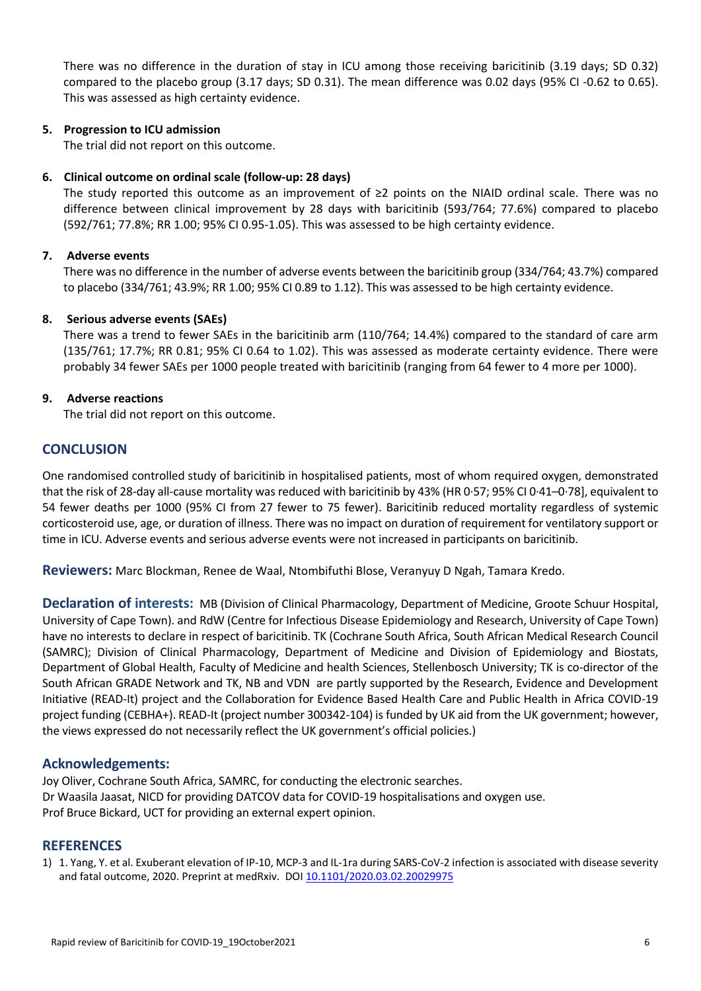There was no difference in the duration of stay in ICU among those receiving baricitinib (3.19 days; SD 0.32) compared to the placebo group (3.17 days; SD 0.31). The mean difference was 0.02 days (95% CI -0.62 to 0.65). This was assessed as high certainty evidence.

#### **5. Progression to ICU admission**

The trial did not report on this outcome.

### **6. Clinical outcome on ordinal scale (follow-up: 28 days)**

The study reported this outcome as an improvement of ≥2 points on the NIAID ordinal scale. There was no difference between clinical improvement by 28 days with baricitinib (593/764; 77.6%) compared to placebo (592/761; 77.8%; RR 1.00; 95% CI 0.95-1.05). This was assessed to be high certainty evidence.

### **7. Adverse events**

There was no difference in the number of adverse events between the baricitinib group (334/764; 43.7%) compared to placebo (334/761; 43.9%; RR 1.00; 95% CI 0.89 to 1.12). This was assessed to be high certainty evidence.

#### **8. Serious adverse events (SAEs)**

There was a trend to fewer SAEs in the baricitinib arm (110/764; 14.4%) compared to the standard of care arm (135/761; 17.7%; RR 0.81; 95% CI 0.64 to 1.02). This was assessed as moderate certainty evidence. There were probably 34 fewer SAEs per 1000 people treated with baricitinib (ranging from 64 fewer to 4 more per 1000).

### **9. Adverse reactions**

The trial did not report on this outcome.

## **CONCLUSION**

One randomised controlled study of baricitinib in hospitalised patients, most of whom required oxygen, demonstrated that the risk of 28-day all-cause mortality was reduced with baricitinib by 43% (HR 0·57; 95% CI 0·41–0·78], equivalent to 54 fewer deaths per 1000 (95% CI from 27 fewer to 75 fewer). Baricitinib reduced mortality regardless of systemic corticosteroid use, age, or duration of illness. There was no impact on duration of requirement for ventilatory support or time in ICU. Adverse events and serious adverse events were not increased in participants on baricitinib.

**Reviewers:** Marc Blockman, Renee de Waal, Ntombifuthi Blose, Veranyuy D Ngah, Tamara Kredo.

**Declaration of interests:** MB (Division of Clinical Pharmacology, Department of Medicine, Groote Schuur Hospital, University of Cape Town). and RdW (Centre for Infectious Disease Epidemiology and Research, University of Cape Town) have no interests to declare in respect of baricitinib. TK (Cochrane South Africa, South African Medical Research Council (SAMRC); Division of Clinical Pharmacology, Department of Medicine and Division of Epidemiology and Biostats, Department of Global Health, Faculty of Medicine and health Sciences, Stellenbosch University; TK is co-director of the South African GRADE Network and TK, NB and VDN are partly supported by the Research, Evidence and Development Initiative (READ-It) project and the Collaboration for Evidence Based Health Care and Public Health in Africa COVID-19 project funding (CEBHA+). READ-It (project number 300342-104) is funded by UK aid from the UK government; however, the views expressed do not necessarily reflect the UK government's official policies.)

## **Acknowledgements:**

Joy Oliver, Cochrane South Africa, SAMRC, for conducting the electronic searches. Dr Waasila Jaasat, NICD for providing DATCOV data for COVID-19 hospitalisations and oxygen use. Prof Bruce Bickard, UCT for providing an external expert opinion.

#### **REFERENCES**

1) 1. Yang, Y. et al. Exuberant elevation of IP-10, MCP-3 and IL-1ra during SARS-CoV-2 infection is associated with disease severity and fatal outcome, 2020. Preprint at medRxiv. DOI [10.1101/2020.03.02.20029975](https://doi.org/10.1101/2020.03.02.20029975)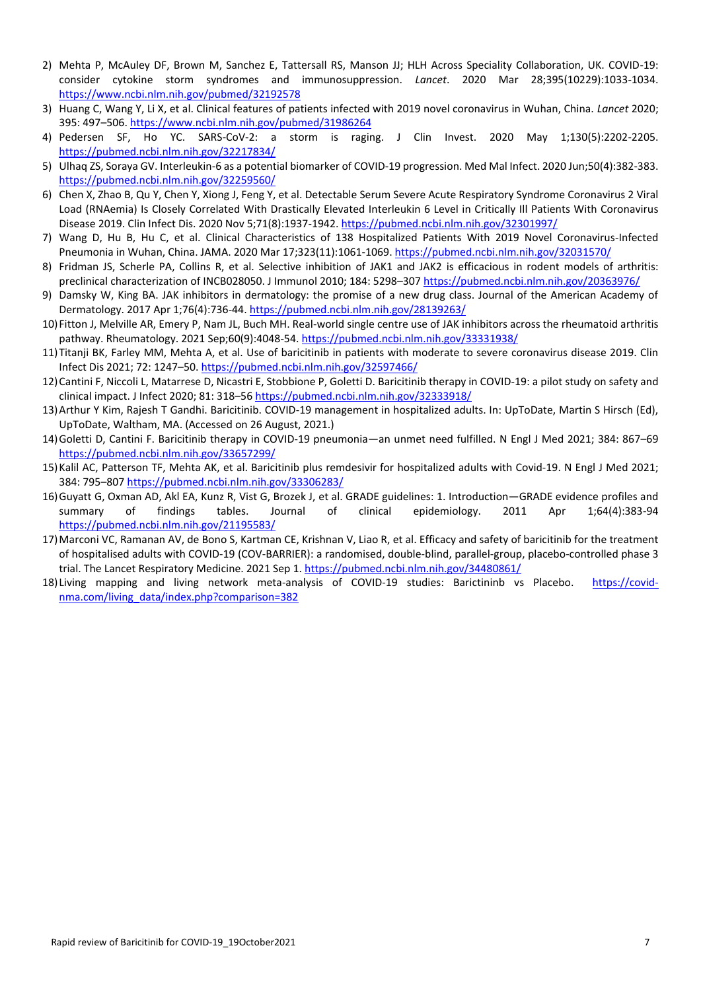- 2) Mehta P, McAuley DF, Brown M, Sanchez E, Tattersall RS, Manson JJ; HLH Across Speciality Collaboration, UK. COVID-19: consider cytokine storm syndromes and immunosuppression. *Lancet*. 2020 Mar 28;395(10229):1033-1034. <https://www.ncbi.nlm.nih.gov/pubmed/32192578>
- 3) Huang C, Wang Y, Li X, et al. Clinical features of patients infected with 2019 novel coronavirus in Wuhan, China. *Lancet* 2020; 395: 497–506[. https://www.ncbi.nlm.nih.gov/pubmed/31986264](https://www.ncbi.nlm.nih.gov/pubmed/31986264)
- 4) Pedersen SF, Ho YC. SARS-CoV-2: a storm is raging. J Clin Invest. 2020 May 1;130(5):2202-2205. <https://pubmed.ncbi.nlm.nih.gov/32217834/>
- 5) Ulhaq ZS, Soraya GV. Interleukin-6 as a potential biomarker of COVID-19 progression. Med Mal Infect. 2020 Jun;50(4):382-383. <https://pubmed.ncbi.nlm.nih.gov/32259560/>
- 6) Chen X, Zhao B, Qu Y, Chen Y, Xiong J, Feng Y, et al. Detectable Serum Severe Acute Respiratory Syndrome Coronavirus 2 Viral Load (RNAemia) Is Closely Correlated With Drastically Elevated Interleukin 6 Level in Critically Ill Patients With Coronavirus Disease 2019. Clin Infect Dis. 2020 Nov 5;71(8):1937-1942.<https://pubmed.ncbi.nlm.nih.gov/32301997/>
- 7) Wang D, Hu B, Hu C, et al. Clinical Characteristics of 138 Hospitalized Patients With 2019 Novel Coronavirus-Infected Pneumonia in Wuhan, China. JAMA. 2020 Mar 17;323(11):1061-1069[. https://pubmed.ncbi.nlm.nih.gov/32031570/](https://pubmed.ncbi.nlm.nih.gov/32031570/)
- 8) Fridman JS, Scherle PA, Collins R, et al. Selective inhibition of JAK1 and JAK2 is efficacious in rodent models of arthritis: preclinical characterization of INCB028050. J Immunol 2010; 184: 5298–307 <https://pubmed.ncbi.nlm.nih.gov/20363976/>
- 9) Damsky W, King BA. JAK inhibitors in dermatology: the promise of a new drug class. Journal of the American Academy of Dermatology. 2017 Apr 1;76(4):736-44.<https://pubmed.ncbi.nlm.nih.gov/28139263/>
- 10)Fitton J, Melville AR, Emery P, Nam JL, Buch MH. Real-world single centre use of JAK inhibitors across the rheumatoid arthritis pathway. Rheumatology. 2021 Sep;60(9):4048-54. <https://pubmed.ncbi.nlm.nih.gov/33331938/>
- 11)Titanji BK, Farley MM, Mehta A, et al. Use of baricitinib in patients with moderate to severe coronavirus disease 2019. Clin Infect Dis 2021; 72: 1247–50. <https://pubmed.ncbi.nlm.nih.gov/32597466/>
- 12)Cantini F, Niccoli L, Matarrese D, Nicastri E, Stobbione P, Goletti D. Baricitinib therapy in COVID-19: a pilot study on safety and clinical impact. J Infect 2020; 81: 318–56 <https://pubmed.ncbi.nlm.nih.gov/32333918/>
- 13)Arthur Y Kim, Rajesh T Gandhi. Baricitinib. COVID-19 management in hospitalized adults. In: UpToDate, Martin S Hirsch (Ed), UpToDate, Waltham, MA. (Accessed on 26 August, 2021.)
- 14)Goletti D, Cantini F. Baricitinib therapy in COVID-19 pneumonia—an unmet need fulfilled. N Engl J Med 2021; 384: 867–69 <https://pubmed.ncbi.nlm.nih.gov/33657299/>
- 15)Kalil AC, Patterson TF, Mehta AK, et al. Baricitinib plus remdesivir for hospitalized adults with Covid-19. N Engl J Med 2021; 384: 795–807 <https://pubmed.ncbi.nlm.nih.gov/33306283/>
- 16)Guyatt G, Oxman AD, Akl EA, Kunz R, Vist G, Brozek J, et al. GRADE guidelines: 1. Introduction—GRADE evidence profiles and summary of findings tables. Journal of clinical epidemiology. 2011 Apr 1;64(4):383-94 <https://pubmed.ncbi.nlm.nih.gov/21195583/>
- 17)Marconi VC, Ramanan AV, de Bono S, Kartman CE, Krishnan V, Liao R, et al. Efficacy and safety of baricitinib for the treatment of hospitalised adults with COVID-19 (COV-BARRIER): a randomised, double-blind, parallel-group, placebo-controlled phase 3 trial. The Lancet Respiratory Medicine. 2021 Sep 1. <https://pubmed.ncbi.nlm.nih.gov/34480861/>
- 18)Living mapping and living network meta‐analysis of COVID‐19 studies: Barictininb vs Placebo. https://covidnma.com/living\_data/index.php?comparison=382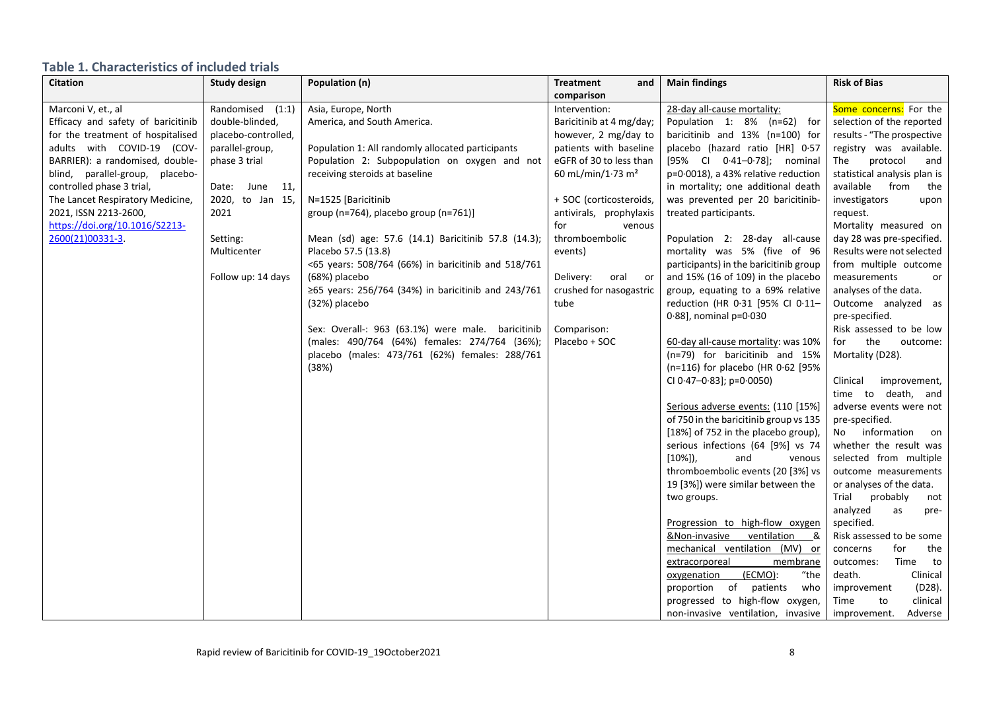## **Table 1. Characteristics of included trials**

| <b>Citation</b>                    | <b>Study design</b> | Population (n)                                      | <b>Treatment</b><br>and       | <b>Main findings</b>                   | <b>Risk of Bias</b>          |
|------------------------------------|---------------------|-----------------------------------------------------|-------------------------------|----------------------------------------|------------------------------|
|                                    |                     |                                                     | comparison                    |                                        |                              |
| Marconi V, et., al                 | Randomised<br>(1:1) | Asia, Europe, North                                 | Intervention:                 | 28-day all-cause mortality:            | Some concerns: For the       |
| Efficacy and safety of baricitinib | double-blinded,     | America, and South America.                         | Baricitinib at 4 mg/day;      | Population 1: 8% (n=62) for            | selection of the reported    |
| for the treatment of hospitalised  | placebo-controlled, |                                                     | however, 2 mg/day to          | baricitinib and 13% (n=100) for        | results - "The prospective   |
| adults with COVID-19 (COV-         | parallel-group,     | Population 1: All randomly allocated participants   | patients with baseline        | placebo (hazard ratio [HR] 0.57        | registry was available.      |
| BARRIER): a randomised, double-    | phase 3 trial       | Population 2: Subpopulation on oxygen and not       | eGFR of 30 to less than       | [95% Cl 0-41-0-78]; nominal            | protocol<br>The<br>and       |
| blind, parallel-group, placebo-    |                     | receiving steroids at baseline                      | 60 mL/min/1.73 m <sup>2</sup> | p=0.0018), a 43% relative reduction    | statistical analysis plan is |
| controlled phase 3 trial,          | Date: June 11,      |                                                     |                               | in mortality; one additional death     | available from<br>the        |
| The Lancet Respiratory Medicine,   | 2020, to Jan 15,    | N=1525 [Baricitinib                                 | + SOC (corticosteroids,       | was prevented per 20 baricitinib-      | investigators<br>upon        |
| 2021, ISSN 2213-2600,              | 2021                | group (n=764), placebo group (n=761)]               | antivirals, prophylaxis       | treated participants.                  | request.                     |
| https://doi.org/10.1016/S2213-     |                     |                                                     | for<br>venous                 |                                        | Mortality measured on        |
| 2600(21)00331-3.                   | Setting:            | Mean (sd) age: 57.6 (14.1) Baricitinib 57.8 (14.3); | thromboembolic                | Population 2: 28-day all-cause         | day 28 was pre-specified.    |
|                                    | Multicenter         | Placebo 57.5 (13.8)                                 | events)                       | mortality was 5% (five of 96           | Results were not selected    |
|                                    |                     | <65 years: 508/764 (66%) in baricitinib and 518/761 |                               | participants) in the baricitinib group | from multiple outcome        |
|                                    | Follow up: 14 days  | (68%) placebo                                       | Delivery:<br>oral or          | and 15% (16 of 109) in the placebo     | measurements<br>or           |
|                                    |                     | ≥65 years: 256/764 (34%) in baricitinib and 243/761 | crushed for nasogastric       | group, equating to a 69% relative      | analyses of the data.        |
|                                    |                     | (32%) placebo                                       | tube                          | reduction (HR 0.31 [95% CI 0.11-       | Outcome analyzed as          |
|                                    |                     |                                                     |                               | $0.88$ ], nominal $p=0.030$            | pre-specified.               |
|                                    |                     | Sex: Overall-: 963 (63.1%) were male. baricitinib   | Comparison:                   |                                        | Risk assessed to be low      |
|                                    |                     | (males: 490/764 (64%) females: 274/764 (36%);       | Placebo + SOC                 | 60-day all-cause mortality: was 10%    | the<br>for<br>outcome:       |
|                                    |                     | placebo (males: 473/761 (62%) females: 288/761      |                               | (n=79) for baricitinib and 15%         | Mortality (D28).             |
|                                    |                     | (38%)                                               |                               | (n=116) for placebo (HR 0.62 [95%      |                              |
|                                    |                     |                                                     |                               | CI 0.47-0.83]; p=0.0050)               | Clinical<br>improvement,     |
|                                    |                     |                                                     |                               |                                        | time to death, and           |
|                                    |                     |                                                     |                               | Serious adverse events: (110 [15%]     | adverse events were not      |
|                                    |                     |                                                     |                               | of 750 in the baricitinib group vs 135 | pre-specified.               |
|                                    |                     |                                                     |                               | [18%] of 752 in the placebo group),    | information<br>No<br>on      |
|                                    |                     |                                                     |                               | serious infections (64 [9%] vs 74      | whether the result was       |
|                                    |                     |                                                     |                               | $[10\%]$ ),<br>and<br>venous           | selected from multiple       |
|                                    |                     |                                                     |                               | thromboembolic events (20 [3%] vs      | outcome measurements         |
|                                    |                     |                                                     |                               | 19 [3%]) were similar between the      | or analyses of the data.     |
|                                    |                     |                                                     |                               | two groups.                            | Trial<br>probably<br>not     |
|                                    |                     |                                                     |                               |                                        | analyzed<br>as<br>pre-       |
|                                    |                     |                                                     |                               | Progression to high-flow oxygen        | specified.                   |
|                                    |                     |                                                     |                               | &Non-invasive<br>ventilation<br>&      | Risk assessed to be some     |
|                                    |                     |                                                     |                               | mechanical ventilation (MV) or         | for<br>the<br>concerns       |
|                                    |                     |                                                     |                               | extracorporeal<br>membrane             | Time<br>outcomes:<br>to      |
|                                    |                     |                                                     |                               | (ECMO):<br>"the<br>oxygenation         | death.<br>Clinical           |
|                                    |                     |                                                     |                               | proportion of patients<br>who          | $(D28)$ .<br>improvement     |
|                                    |                     |                                                     |                               | progressed to high-flow oxygen,        | clinical<br>Time<br>to       |
|                                    |                     |                                                     |                               | non-invasive ventilation, invasive     | Adverse<br>improvement.      |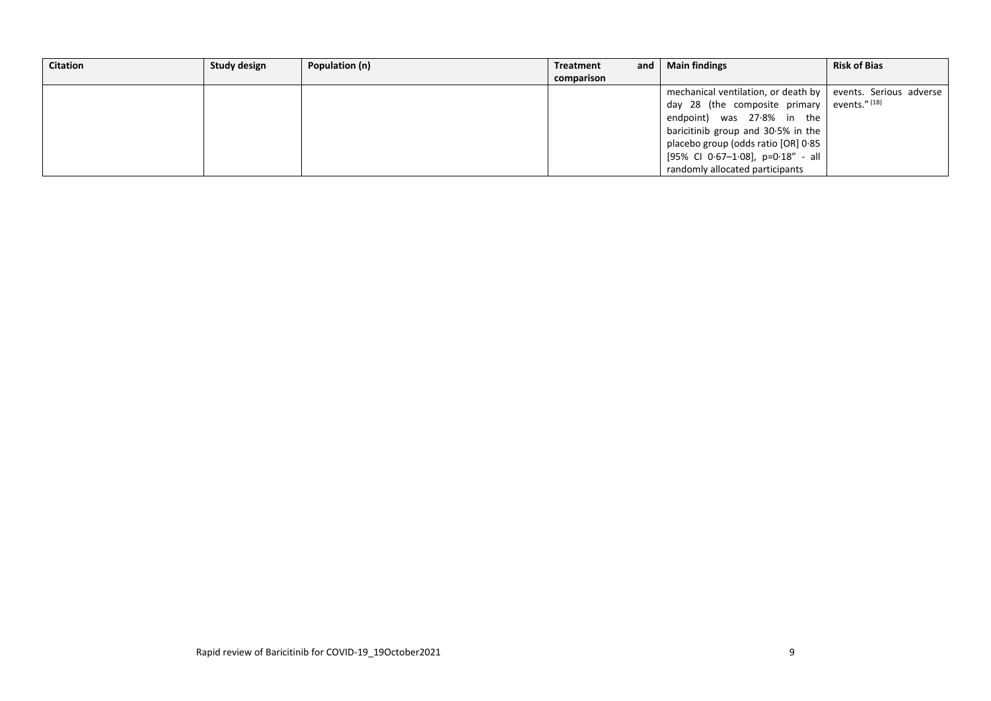| <b>Citation</b> | Study design | Population (n) | <b>Treatment</b> | and l | <b>Main findings</b>                                          | <b>Risk of Bias</b> |
|-----------------|--------------|----------------|------------------|-------|---------------------------------------------------------------|---------------------|
|                 |              |                | comparison       |       |                                                               |                     |
|                 |              |                |                  |       | mechanical ventilation, or death by   events. Serious adverse |                     |
|                 |              |                |                  |       | day 28 (the composite primary events." $(18)$                 |                     |
|                 |              |                |                  |       | endpoint) was 27.8% in the                                    |                     |
|                 |              |                |                  |       | baricitinib group and 30.5% in the                            |                     |
|                 |              |                |                  |       | placebo group (odds ratio [OR] 0.85                           |                     |
|                 |              |                |                  |       | [95% CI 0.67-1.08], p=0.18" - all                             |                     |
|                 |              |                |                  |       | randomly allocated participants                               |                     |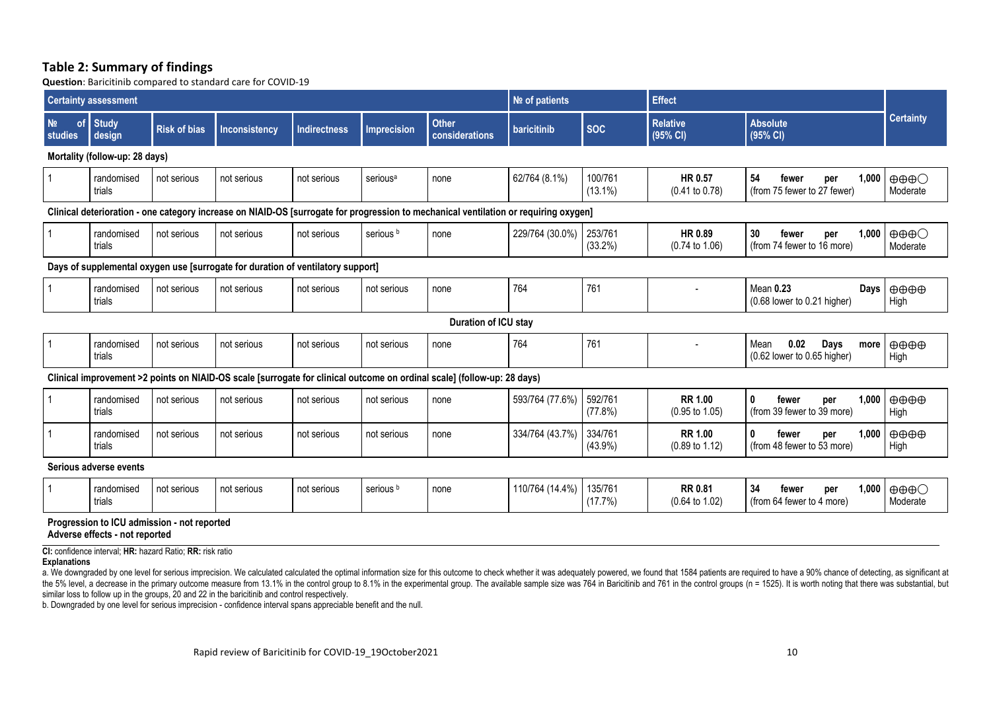### **Table 2: Summary of findings**

**Question**: Baricitinib compared to standard care for COVID-19

| <b>Certainty assessment</b>                |                                                                                                                                                                                                                                                                                             |                                             |                                                                                 | Nº of patients      |                      | <b>Effect</b>                                                                                                                        |                 |                       |                                             |                                                                    |                                             |
|--------------------------------------------|---------------------------------------------------------------------------------------------------------------------------------------------------------------------------------------------------------------------------------------------------------------------------------------------|---------------------------------------------|---------------------------------------------------------------------------------|---------------------|----------------------|--------------------------------------------------------------------------------------------------------------------------------------|-----------------|-----------------------|---------------------------------------------|--------------------------------------------------------------------|---------------------------------------------|
| N <sub>2</sub><br><sub>of</sub><br>studies | <b>Study</b><br>design                                                                                                                                                                                                                                                                      | <b>Risk of bias</b>                         | <b>Inconsistency</b>                                                            | <b>Indirectness</b> | <b>Imprecision</b>   | <b>Other</b><br>considerations                                                                                                       | baricitinib     | <b>SOC</b>            | <b>Relative</b><br>(95% CI)                 | <b>Absolute</b><br>(95% CI)                                        | <b>Certainty</b>                            |
|                                            | Mortality (follow-up: 28 days)                                                                                                                                                                                                                                                              |                                             |                                                                                 |                     |                      |                                                                                                                                      |                 |                       |                                             |                                                                    |                                             |
|                                            | randomised<br>trials                                                                                                                                                                                                                                                                        | not serious                                 | not serious                                                                     | not serious         | serious <sup>a</sup> | none                                                                                                                                 | 62/764 (8.1%)   | 100/761<br>$(13.1\%)$ | HR 0.57<br>$(0.41 \text{ to } 0.78)$        | 54<br>1,000<br>fewer<br>per<br>(from 75 fewer to 27 fewer)         | $\oplus \oplus \oplus \bigcirc$<br>Moderate |
|                                            |                                                                                                                                                                                                                                                                                             |                                             |                                                                                 |                     |                      | Clinical deterioration - one category increase on NIAID-OS [surrogate for progression to mechanical ventilation or requiring oxygen] |                 |                       |                                             |                                                                    |                                             |
|                                            | randomised<br>trials                                                                                                                                                                                                                                                                        | not serious                                 | not serious                                                                     | not serious         | serious <sup>b</sup> | none                                                                                                                                 | 229/764 (30.0%) | 253/761<br>$(33.2\%)$ | HR 0.89<br>$(0.74 \text{ to } 1.06)$        | 30<br>fewer<br>1,000<br>per<br>(from 74 fewer to 16 more)          | $\oplus \oplus \oplus \bigcirc$<br>Moderate |
|                                            |                                                                                                                                                                                                                                                                                             |                                             | Days of supplemental oxygen use [surrogate for duration of ventilatory support] |                     |                      |                                                                                                                                      |                 |                       |                                             |                                                                    |                                             |
|                                            | randomised<br>trials                                                                                                                                                                                                                                                                        | not serious                                 | not serious                                                                     | not serious         | not serious          | none                                                                                                                                 | 764             | 761                   |                                             | <b>Mean 0.23</b><br>Days<br>(0.68 lower to 0.21 higher)            | $\oplus \oplus \oplus$<br>High              |
|                                            |                                                                                                                                                                                                                                                                                             |                                             |                                                                                 |                     |                      | Duration of ICU stay                                                                                                                 |                 |                       |                                             |                                                                    |                                             |
|                                            | randomised<br>trials                                                                                                                                                                                                                                                                        | not serious                                 | not serious                                                                     | not serious         | not serious          | none                                                                                                                                 | 764             | 761                   |                                             | Mean<br>0.02<br>Days<br>more<br>(0.62 lower to 0.65 higher)        | $\oplus \oplus \oplus$<br>High              |
|                                            |                                                                                                                                                                                                                                                                                             |                                             |                                                                                 |                     |                      | Clinical improvement >2 points on NIAID-OS scale [surrogate for clinical outcome on ordinal scale] (follow-up: 28 days)              |                 |                       |                                             |                                                                    |                                             |
|                                            | randomised<br>trials                                                                                                                                                                                                                                                                        | not serious                                 | not serious                                                                     | not serious         | not serious          | none                                                                                                                                 | 593/764 (77.6%) | 592/761<br>(77.8%)    | <b>RR 1.00</b><br>$(0.95 \text{ to } 1.05)$ | $\mathbf 0$<br>1,000<br>fewer<br>per<br>(from 39 fewer to 39 more) | $\oplus \oplus \oplus$<br>High              |
|                                            | randomised<br>trials                                                                                                                                                                                                                                                                        | not serious                                 | not serious                                                                     | not serious         | not serious          | none                                                                                                                                 | 334/764 (43.7%) | 334/761<br>$(43.9\%)$ | <b>RR 1.00</b><br>$(0.89 \text{ to } 1.12)$ | 0<br>1,000<br>fewer<br>per<br>(from 48 fewer to 53 more)           | $\oplus \oplus \oplus$<br>High              |
|                                            | Serious adverse events                                                                                                                                                                                                                                                                      |                                             |                                                                                 |                     |                      |                                                                                                                                      |                 |                       |                                             |                                                                    |                                             |
|                                            | randomised<br>trials                                                                                                                                                                                                                                                                        | not serious                                 | not serious                                                                     | not serious         | serious <sup>b</sup> | none                                                                                                                                 | 110/764 (14.4%) | 135/761<br>(17.7%)    | <b>RR 0.81</b><br>$(0.64 \text{ to } 1.02)$ | 34<br>fewer<br>1,000<br>per<br>(from 64 fewer to 4 more)           | $\oplus \oplus \oplus \bigcirc$<br>Moderate |
|                                            | Adverse effects - not reported                                                                                                                                                                                                                                                              | Progression to ICU admission - not reported |                                                                                 |                     |                      |                                                                                                                                      |                 |                       |                                             |                                                                    |                                             |
| <b>Explanations</b>                        | CI: confidence interval; HR: hazard Ratio; RR: risk ratio<br>No downgraded by one level for serious improprion. We related the patellated the optimal information cize for this putchme to check whether it was adoppated we found that 1584 patients are required to have a QO%, channel o |                                             |                                                                                 |                     |                      |                                                                                                                                      |                 |                       |                                             |                                                                    |                                             |

a. We downgraded by one level for serious imprecision. We calculated calculated the optimal information size for this outcome to check whether it was adequately powered, we found that 1584 patients are required to have a 9 the 5% level, a decrease in the primary outcome measure from 13.1% in the control group to 8.1% in the experimental group. The available sample size was 764 in Baricitinib and 761 in the control groups (n = 1525). It is wo similar loss to follow up in the groups, 20 and 22 in the baricitinib and control respectively.

b. Downgraded by one level for serious imprecision - confidence interval spans appreciable benefit and the null.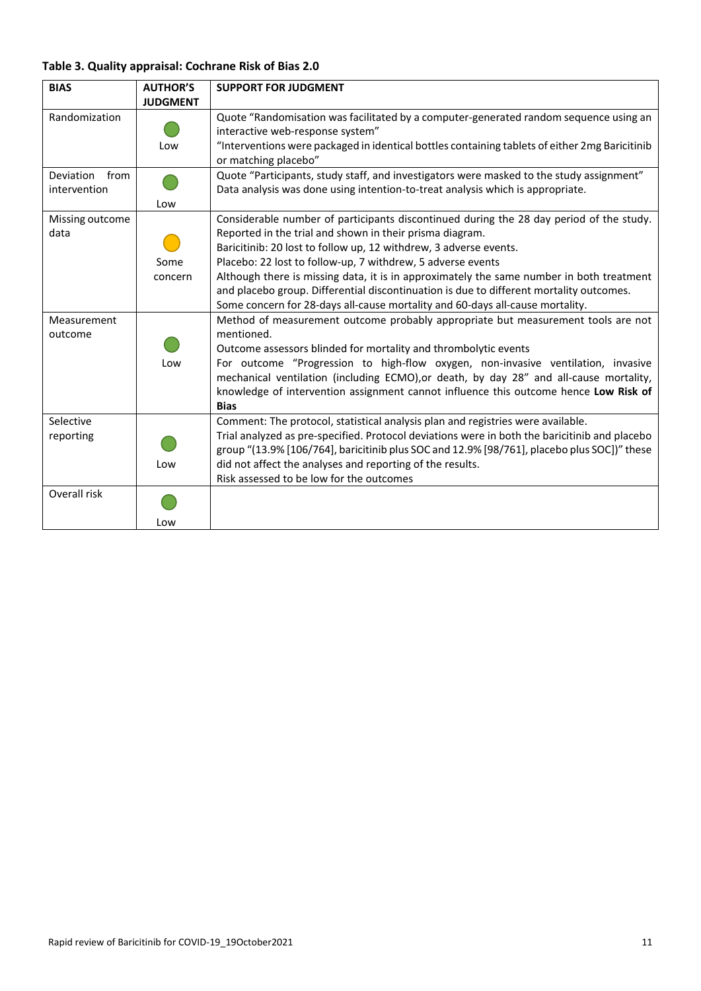## **Table 3. Quality appraisal: Cochrane Risk of Bias 2.0**

| <b>BIAS</b>     | <b>AUTHOR'S</b> | <b>SUPPORT FOR JUDGMENT</b>                                                                    |
|-----------------|-----------------|------------------------------------------------------------------------------------------------|
|                 | <b>JUDGMENT</b> |                                                                                                |
| Randomization   |                 | Quote "Randomisation was facilitated by a computer-generated random sequence using an          |
|                 |                 | interactive web-response system"                                                               |
|                 | Low             | "Interventions were packaged in identical bottles containing tablets of either 2mg Baricitinib |
|                 |                 | or matching placebo"                                                                           |
| Deviation from  |                 | Quote "Participants, study staff, and investigators were masked to the study assignment"       |
| intervention    |                 | Data analysis was done using intention-to-treat analysis which is appropriate.                 |
|                 | Low             |                                                                                                |
| Missing outcome |                 | Considerable number of participants discontinued during the 28 day period of the study.        |
| data            |                 | Reported in the trial and shown in their prisma diagram.                                       |
|                 |                 | Baricitinib: 20 lost to follow up, 12 withdrew, 3 adverse events.                              |
|                 | Some            | Placebo: 22 lost to follow-up, 7 withdrew, 5 adverse events                                    |
|                 | concern         | Although there is missing data, it is in approximately the same number in both treatment       |
|                 |                 | and placebo group. Differential discontinuation is due to different mortality outcomes.        |
|                 |                 | Some concern for 28-days all-cause mortality and 60-days all-cause mortality.                  |
| Measurement     |                 | Method of measurement outcome probably appropriate but measurement tools are not               |
| outcome         |                 | mentioned.                                                                                     |
|                 |                 | Outcome assessors blinded for mortality and thrombolytic events                                |
|                 | Low             | For outcome "Progression to high-flow oxygen, non-invasive ventilation, invasive               |
|                 |                 | mechanical ventilation (including ECMO), or death, by day 28" and all-cause mortality,         |
|                 |                 | knowledge of intervention assignment cannot influence this outcome hence Low Risk of           |
|                 |                 | <b>Bias</b>                                                                                    |
| Selective       |                 | Comment: The protocol, statistical analysis plan and registries were available.                |
| reporting       |                 | Trial analyzed as pre-specified. Protocol deviations were in both the baricitinib and placebo  |
|                 |                 | group "(13.9% [106/764], baricitinib plus SOC and 12.9% [98/761], placebo plus SOC])" these    |
|                 | Low             | did not affect the analyses and reporting of the results.                                      |
|                 |                 | Risk assessed to be low for the outcomes                                                       |
| Overall risk    |                 |                                                                                                |
|                 | Low             |                                                                                                |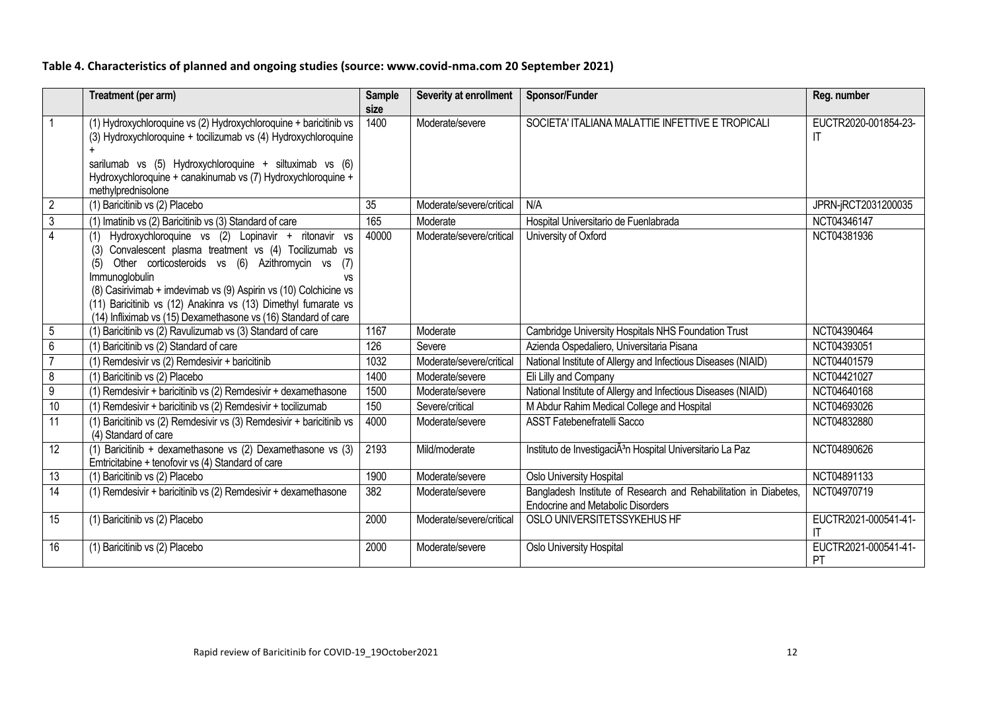## **Table 4. Characteristics of planned and ongoing studies (source: www.covid-nma.com 20 September 2021)**

|                         | Treatment (per arm)                                                                                                                                                                                                                                                                                                                                                                                            | <b>Sample</b><br>size | Severity at enrollment   | Sponsor/Funder                                                                                               | Reg. number                |
|-------------------------|----------------------------------------------------------------------------------------------------------------------------------------------------------------------------------------------------------------------------------------------------------------------------------------------------------------------------------------------------------------------------------------------------------------|-----------------------|--------------------------|--------------------------------------------------------------------------------------------------------------|----------------------------|
| $\overline{1}$          | (1) Hydroxychloroquine vs (2) Hydroxychloroquine + baricitinib vs<br>(3) Hydroxychloroquine + tocilizumab vs (4) Hydroxychloroquine<br>sarilumab vs (5) Hydroxychloroquine + siltuximab vs (6)<br>Hydroxychloroquine + canakinumab vs (7) Hydroxychloroquine +<br>methylprednisolone                                                                                                                           | 1400                  | Moderate/severe          | SOCIETA' ITALIANA MALATTIE INFETTIVE E TROPICALI                                                             | EUCTR2020-001854-23-<br>IT |
| $\overline{2}$          | (1) Baricitinib vs (2) Placebo                                                                                                                                                                                                                                                                                                                                                                                 | 35                    | Moderate/severe/critical | N/A                                                                                                          | JPRN-jRCT2031200035        |
| $\overline{\mathbf{3}}$ | (1) Imatinib vs (2) Baricitinib vs (3) Standard of care                                                                                                                                                                                                                                                                                                                                                        | 165                   | Moderate                 | Hospital Universitario de Fuenlabrada                                                                        | NCT04346147                |
| $\overline{4}$          | Hydroxychloroquine vs (2) Lopinavir + ritonavir vs<br>Convalescent plasma treatment vs (4) Tocilizumab vs<br>(3)<br>Other corticosteroids vs (6) Azithromycin vs<br>(7)<br>(5)<br>Immunoglobulin<br>VS<br>(8) Casirivimab + imdevimab vs (9) Aspirin vs (10) Colchicine vs<br>(11) Baricitinib vs (12) Anakinra vs (13) Dimethyl fumarate vs<br>(14) Infliximab vs (15) Dexamethasone vs (16) Standard of care | 40000                 | Moderate/severe/critical | University of Oxford                                                                                         | NCT04381936                |
| $\sqrt{5}$              | (1) Baricitinib vs (2) Ravulizumab vs (3) Standard of care                                                                                                                                                                                                                                                                                                                                                     | 1167                  | Moderate                 | Cambridge University Hospitals NHS Foundation Trust                                                          | NCT04390464                |
| $6\phantom{1}$          | Baricitinib vs (2) Standard of care                                                                                                                                                                                                                                                                                                                                                                            | 126                   | Severe                   | Azienda Ospedaliero, Universitaria Pisana                                                                    | NCT04393051                |
| $\overline{7}$          | (1) Remdesivir vs (2) Remdesivir + baricitinib                                                                                                                                                                                                                                                                                                                                                                 | 1032                  | Moderate/severe/critical | National Institute of Allergy and Infectious Diseases (NIAID)                                                | NCT04401579                |
| $\,8\,$                 | Baricitinib vs (2) Placebo                                                                                                                                                                                                                                                                                                                                                                                     | 1400                  | Moderate/severe          | Eli Lilly and Company                                                                                        | NCT04421027                |
| $9\,$                   | (1) Remdesivir + baricitinib vs $(2)$ Remdesivir + dexamethasone                                                                                                                                                                                                                                                                                                                                               | 1500                  | Moderate/severe          | National Institute of Allergy and Infectious Diseases (NIAID)                                                | NCT04640168                |
| 10                      | (1) Remdesivir + baricitinib vs (2) Remdesivir + tocilizumab                                                                                                                                                                                                                                                                                                                                                   | 150                   | Severe/critical          | M Abdur Rahim Medical College and Hospital                                                                   | NCT04693026                |
| 11                      | (1) Baricitinib vs (2) Remdesivir vs (3) Remdesivir + baricitinib vs<br>(4) Standard of care                                                                                                                                                                                                                                                                                                                   | 4000                  | Moderate/severe          | <b>ASST Fatebenefratelli Sacco</b>                                                                           | NCT04832880                |
| $\overline{12}$         | (1) Baricitinib + dexamethasone vs (2) Dexamethasone vs (3)<br>Emtricitabine + tenofovir vs (4) Standard of care                                                                                                                                                                                                                                                                                               | 2193                  | Mild/moderate            | Instituto de InvestigaciÃ <sup>3</sup> n Hospital Universitario La Paz                                       | NCT04890626                |
| 13                      | (1) Baricitinib vs (2) Placebo                                                                                                                                                                                                                                                                                                                                                                                 | 1900                  | Moderate/severe          | Oslo University Hospital                                                                                     | NCT04891133                |
| $\overline{14}$         | (1) Remdesivir + baricitinib vs (2) Remdesivir + dexamethasone                                                                                                                                                                                                                                                                                                                                                 | 382                   | Moderate/severe          | Bangladesh Institute of Research and Rehabilitation in Diabetes,<br><b>Endocrine and Metabolic Disorders</b> | NCT04970719                |
| 15                      | (1) Baricitinib vs (2) Placebo                                                                                                                                                                                                                                                                                                                                                                                 | 2000                  | Moderate/severe/critical | OSLO UNIVERSITETSSYKEHUS HF                                                                                  | EUCTR2021-000541-41-<br>ΙT |
| 16                      | (1) Baricitinib vs (2) Placebo                                                                                                                                                                                                                                                                                                                                                                                 | 2000                  | Moderate/severe          | Oslo University Hospital                                                                                     | EUCTR2021-000541-41-<br>PT |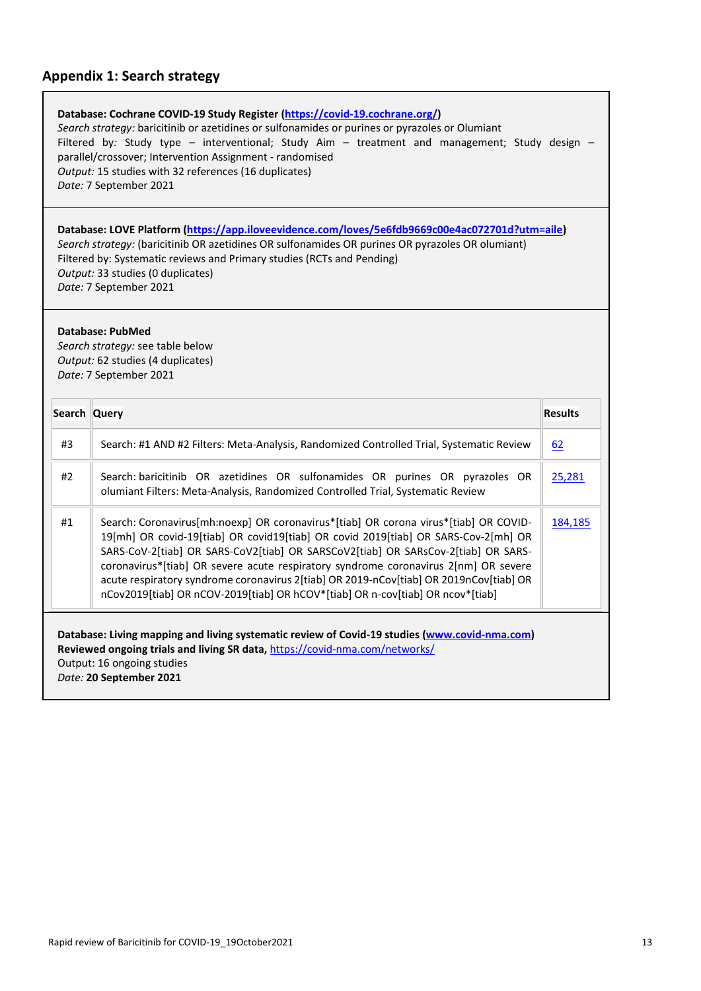## **Appendix 1: Search strategy**

| Database: Cochrane COVID-19 Study Register (https://covid-19.cochrane.org/)                    |  |
|------------------------------------------------------------------------------------------------|--|
| Search strategy: baricitinib or azetidines or sulfonamides or purines or pyrazoles or Olumiant |  |
| Filtered by: Study type – interventional; Study Aim – treatment and management; Study design – |  |
| parallel/crossover; Intervention Assignment - randomised                                       |  |
| Output: 15 studies with 32 references (16 duplicates)                                          |  |
| Date: 7 September 2021                                                                         |  |

**Database: LOVE Platform [\(https://app.iloveevidence.com/loves/5e6fdb9669c00e4ac072701d?utm=aile\)](https://app.iloveevidence.com/loves/5e6fdb9669c00e4ac072701d?utm=aile)** *Search strategy:* (baricitinib OR azetidines OR sulfonamides OR purines OR pyrazoles OR olumiant) Filtered by: Systematic reviews and Primary studies (RCTs and Pending) *Output:* 33 studies (0 duplicates) *Date:* 7 September 2021

#### **Database: PubMed**

*Search strategy:* see table below *Output:* 62 studies (4 duplicates) *Date:* 7 September 2021

| Search Query                                                                                                                                                                                                                          |                                                                                                                                                                                                                                                                                                                                                                                                                                                                                                                                    | <b>Results</b> |  |  |  |
|---------------------------------------------------------------------------------------------------------------------------------------------------------------------------------------------------------------------------------------|------------------------------------------------------------------------------------------------------------------------------------------------------------------------------------------------------------------------------------------------------------------------------------------------------------------------------------------------------------------------------------------------------------------------------------------------------------------------------------------------------------------------------------|----------------|--|--|--|
| #3                                                                                                                                                                                                                                    | Search: #1 AND #2 Filters: Meta-Analysis, Randomized Controlled Trial, Systematic Review                                                                                                                                                                                                                                                                                                                                                                                                                                           | <u>62</u>      |  |  |  |
| #2                                                                                                                                                                                                                                    | Search: baricitinib OR azetidines OR sulfonamides OR purines OR pyrazoles OR<br>olumiant Filters: Meta-Analysis, Randomized Controlled Trial, Systematic Review                                                                                                                                                                                                                                                                                                                                                                    | 25,281         |  |  |  |
| #1                                                                                                                                                                                                                                    | Search: Coronavirus[mh:noexp] OR coronavirus*[tiab] OR corona virus*[tiab] OR COVID-<br>19[mh] OR covid-19[tiab] OR covid19[tiab] OR covid 2019[tiab] OR SARS-Cov-2[mh] OR<br>SARS-CoV-2[tiab] OR SARS-CoV2[tiab] OR SARSCoV2[tiab] OR SARsCov-2[tiab] OR SARS-<br>coronavirus*[tiab] OR severe acute respiratory syndrome coronavirus 2[nm] OR severe<br>acute respiratory syndrome coronavirus 2[tiab] OR 2019-nCov[tiab] OR 2019nCov[tiab] OR<br>nCov2019[tiab] OR nCOV-2019[tiab] OR hCOV*[tiab] OR n-cov[tiab] OR ncov*[tiab] | 184,185        |  |  |  |
| Database: Living mapping and living systematic review of Covid-19 studies (www.covid-nma.com)<br>Reviewed ongoing trials and living SR data, https://covid-nma.com/networks/<br>Output: 16 ongoing studies<br>Date: 20 September 2021 |                                                                                                                                                                                                                                                                                                                                                                                                                                                                                                                                    |                |  |  |  |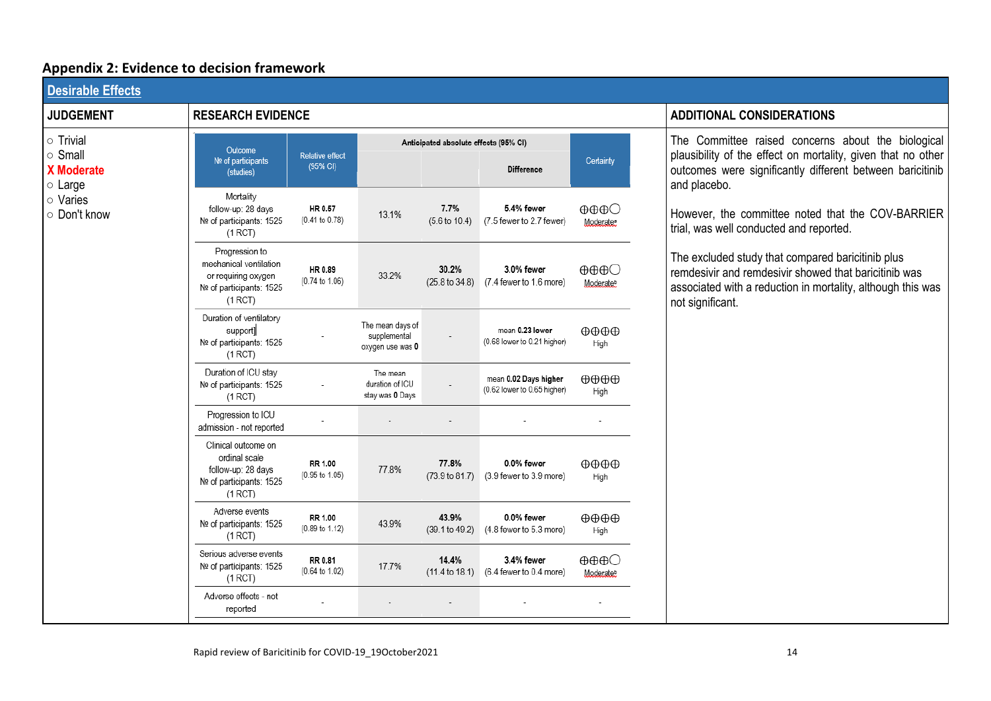# **Appendix 2: Evidence to decision framework**

| <b>Desirable Effects</b>                                                  |                                                                                                        |                             |                                                      |                                       |                                                      |                                                          |                                                                                                                                                                                               |
|---------------------------------------------------------------------------|--------------------------------------------------------------------------------------------------------|-----------------------------|------------------------------------------------------|---------------------------------------|------------------------------------------------------|----------------------------------------------------------|-----------------------------------------------------------------------------------------------------------------------------------------------------------------------------------------------|
| <b>JUDGEMENT</b>                                                          | <b>RESEARCH EVIDENCE</b>                                                                               |                             |                                                      | <b>ADDITIONAL CONSIDERATIONS</b>      |                                                      |                                                          |                                                                                                                                                                                               |
| $\circ$ Trivial                                                           | Outcome                                                                                                |                             |                                                      | Anticipated absolute effects (95% CI) |                                                      |                                                          | The Committee raised concerns about the biological                                                                                                                                            |
| o Small<br><b>X</b> Moderate<br>$\circ$ Large<br>o Varies<br>○ Don't know | Nº of participants<br>(studies)                                                                        | Relative effect<br>(95% CI) |                                                      |                                       | <b>Difference</b>                                    | Certainty                                                | plausibility of the effect on mortality, given that no other<br>outcomes were significantly different between baricitinib<br>and placebo.                                                     |
|                                                                           | Mortality<br>follow-up: 28 days<br>Nº of participants: 1525<br>(1 RCT)                                 | HR 0.57<br>(0.41 to 0.78)   | 13.1%                                                | 7.7%<br>$(5.6 \text{ to } 10.4)$      | 5.4% fewer<br>(7.5 fewer to 2.7 fewer)               | $\oplus \oplus \oplus \bigcirc$<br>Moderate:             | However, the committee noted that the COV-BARRIER<br>trial, was well conducted and reported.                                                                                                  |
|                                                                           | Progression to<br>mechanical ventilation<br>or requiring oxygen<br>Nº of participants: 1525<br>(1 RCT) | HR 0.89<br>(0.74 to 1.06)   | 33.2%                                                | 30.2%<br>$(25.8 \text{ to } 34.8)$    | 3.0% fewer<br>(7.4 fewer to 1.6 more)                | $\oplus \oplus \oplus \bigcirc$<br>Moderate <sup>b</sup> | The excluded study that compared baricitinib plus<br>remdesivir and remdesivir showed that baricitinib was<br>associated with a reduction in mortality, although this was<br>not significant. |
|                                                                           | Duration of ventilatory<br>support]<br>Nº of participants: 1525<br>(1 RCT)                             |                             | The mean days of<br>supplemental<br>oxygen use was 0 |                                       | mean 0.23 lower<br>(0.68 lower to 0.21 higher)       | $\oplus \oplus \oplus$<br>High                           |                                                                                                                                                                                               |
|                                                                           | Duration of ICU stay<br>Nº of participants: 1525<br>(1 RCT)                                            |                             | The mean<br>duration of ICU<br>stay was 0 Days       |                                       | mean 0.02 Days higher<br>(0.62 lower to 0.65 higher) | $\oplus \oplus \oplus$<br>High                           |                                                                                                                                                                                               |
|                                                                           | Progression to ICU<br>admission - not reported                                                         |                             |                                                      |                                       |                                                      |                                                          |                                                                                                                                                                                               |
|                                                                           | Clinical outcome on<br>ordinal scale<br>follow-up: 28 days<br>Nº of participants: 1525<br>(1 RCT)      | RR 1.00<br>(0.95 to 1.05)   | 77.8%                                                | 77.8%<br>$(73.9 \text{ to } 81.7)$    | 0.0% fewer<br>(3.9 fewer to 3.9 more)                | $\oplus \oplus \oplus$<br>High                           |                                                                                                                                                                                               |
|                                                                           | Adverse events<br>Nº of participants: 1525<br>(1 RCT)                                                  | RR 1.00<br>(0.89 to 1.12)   | 43.9%                                                | 43.9%<br>(39.1 to 49.2)               | 0.0% fewer<br>(4.8 fewer to 5.3 more)                | $\oplus \oplus \oplus$<br>High                           |                                                                                                                                                                                               |
|                                                                           | Serious adverse events<br>Nº of participants: 1525<br>(1 RCT)                                          | RR 0.81<br>(0.64 to 1.02)   | 17.7%                                                | 14.4%                                 | 3.4% fewer<br>(11.4 to 18.1) (6.4 fewer to 0.4 more) | $\oplus \oplus \oplus \bigcirc$<br>Moderate <sup>b</sup> |                                                                                                                                                                                               |
|                                                                           | Adverse effects - not<br>reported                                                                      |                             |                                                      |                                       |                                                      |                                                          |                                                                                                                                                                                               |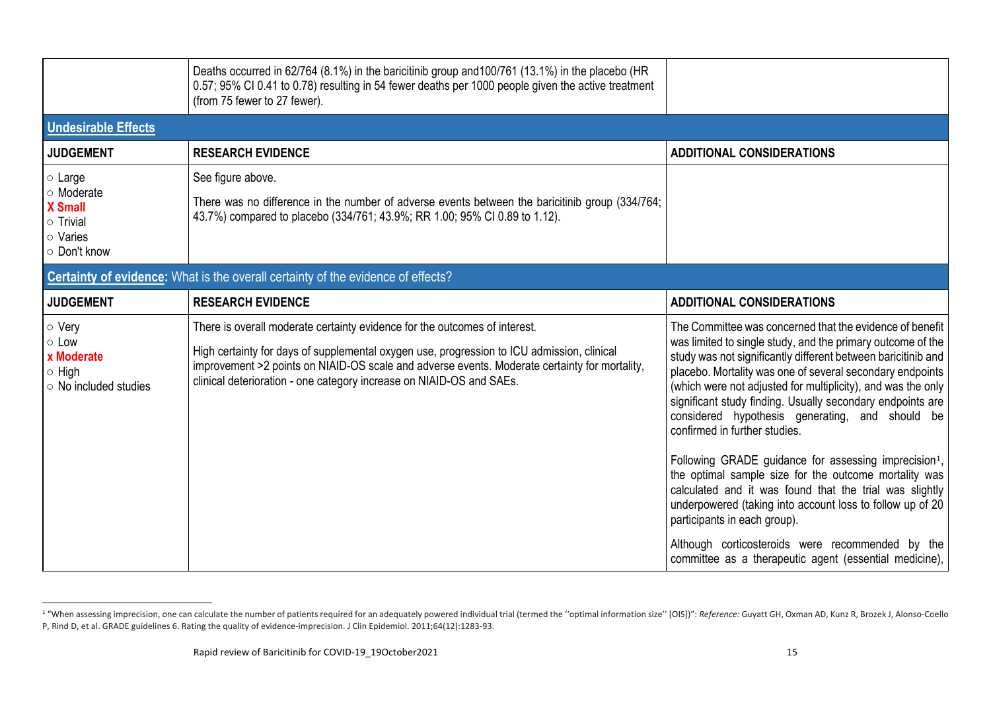|                                                                                              | Deaths occurred in 62/764 (8.1%) in the baricitinib group and 100/761 (13.1%) in the placebo (HR<br>0.57; 95% CI 0.41 to 0.78) resulting in 54 fewer deaths per 1000 people given the active treatment<br>(from 75 fewer to 27 fewer).                                                                                                            |                                                                                                                                                                                                                                                                                                                                                                                                                                                                                                                                                                                                                                                                                                                                                               |  |  |  |  |  |
|----------------------------------------------------------------------------------------------|---------------------------------------------------------------------------------------------------------------------------------------------------------------------------------------------------------------------------------------------------------------------------------------------------------------------------------------------------|---------------------------------------------------------------------------------------------------------------------------------------------------------------------------------------------------------------------------------------------------------------------------------------------------------------------------------------------------------------------------------------------------------------------------------------------------------------------------------------------------------------------------------------------------------------------------------------------------------------------------------------------------------------------------------------------------------------------------------------------------------------|--|--|--|--|--|
| <b>Undesirable Effects</b>                                                                   |                                                                                                                                                                                                                                                                                                                                                   |                                                                                                                                                                                                                                                                                                                                                                                                                                                                                                                                                                                                                                                                                                                                                               |  |  |  |  |  |
| <b>JUDGEMENT</b>                                                                             | <b>RESEARCH EVIDENCE</b>                                                                                                                                                                                                                                                                                                                          | <b>ADDITIONAL CONSIDERATIONS</b>                                                                                                                                                                                                                                                                                                                                                                                                                                                                                                                                                                                                                                                                                                                              |  |  |  |  |  |
| $\circ$ Large<br>o Moderate<br><b>X</b> Small<br>$\circ$ Trivial<br>o Varies<br>○ Don't know | See figure above.<br>There was no difference in the number of adverse events between the baricitinib group (334/764;<br>43.7%) compared to placebo (334/761; 43.9%; RR 1.00; 95% CI 0.89 to 1.12).                                                                                                                                                |                                                                                                                                                                                                                                                                                                                                                                                                                                                                                                                                                                                                                                                                                                                                                               |  |  |  |  |  |
| Certainty of evidence: What is the overall certainty of the evidence of effects?             |                                                                                                                                                                                                                                                                                                                                                   |                                                                                                                                                                                                                                                                                                                                                                                                                                                                                                                                                                                                                                                                                                                                                               |  |  |  |  |  |
| <b>JUDGEMENT</b>                                                                             | <b>RESEARCH EVIDENCE</b>                                                                                                                                                                                                                                                                                                                          | <b>ADDITIONAL CONSIDERATIONS</b>                                                                                                                                                                                                                                                                                                                                                                                                                                                                                                                                                                                                                                                                                                                              |  |  |  |  |  |
| o Very<br>$\circ$ Low<br>x Moderate<br>$\circ$ High<br>$\circ$ No included studies           | There is overall moderate certainty evidence for the outcomes of interest.<br>High certainty for days of supplemental oxygen use, progression to ICU admission, clinical<br>improvement >2 points on NIAID-OS scale and adverse events. Moderate certainty for mortality,<br>clinical deterioration - one category increase on NIAID-OS and SAEs. | The Committee was concerned that the evidence of benefit<br>was limited to single study, and the primary outcome of the<br>study was not significantly different between baricitinib and<br>placebo. Mortality was one of several secondary endpoints<br>(which were not adjusted for multiplicity), and was the only<br>significant study finding. Usually secondary endpoints are<br>considered hypothesis generating, and should be<br>confirmed in further studies.<br>Following GRADE guidance for assessing imprecision <sup>1</sup> ,<br>the optimal sample size for the outcome mortality was<br>calculated and it was found that the trial was slightly<br>underpowered (taking into account loss to follow up of 20<br>participants in each group). |  |  |  |  |  |
|                                                                                              |                                                                                                                                                                                                                                                                                                                                                   | Although corticosteroids were recommended by the<br>committee as a therapeutic agent (essential medicine),                                                                                                                                                                                                                                                                                                                                                                                                                                                                                                                                                                                                                                                    |  |  |  |  |  |

<sup>&</sup>quot;When assessing imprecision, one can calculate the number of patients required for an adequately powered individual trial (termed the "optimal information size" [OIS])": Reference: Guyatt GH, Oxman AD, Kunz R, Brozek J, Al P, Rind D, et al. GRADE guidelines 6. Rating the quality of evidence-imprecision. J Clin Epidemiol. 2011;64(12):1283-93.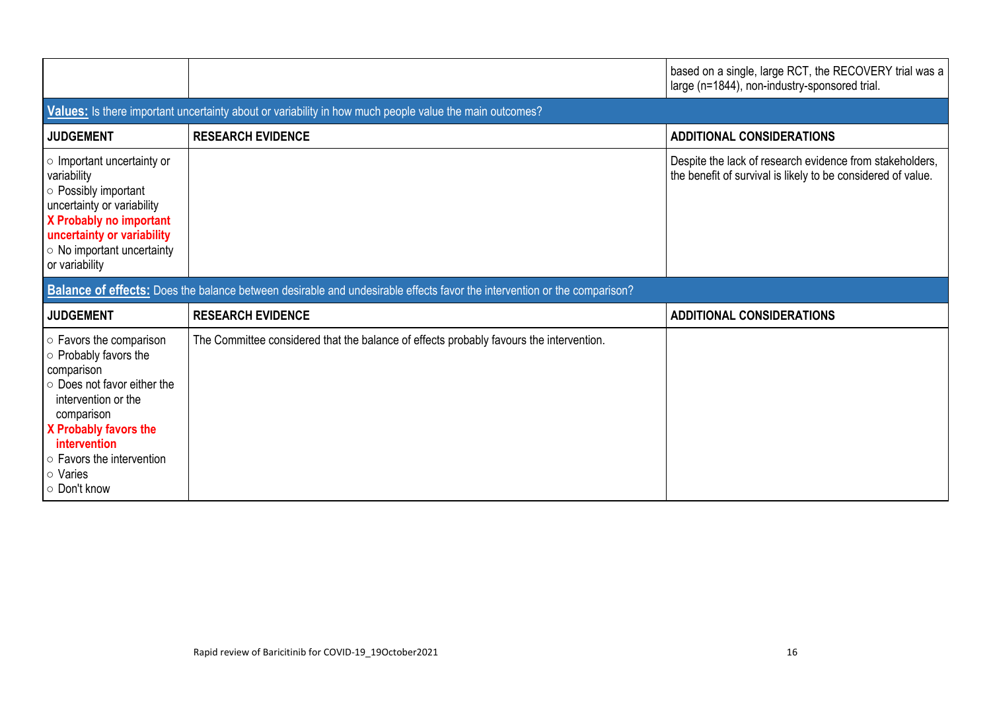|                                                                                                                                                                                                                                                  |                                                                                                                                 | based on a single, large RCT, the RECOVERY trial was a<br>large (n=1844), non-industry-sponsored trial.                  |
|--------------------------------------------------------------------------------------------------------------------------------------------------------------------------------------------------------------------------------------------------|---------------------------------------------------------------------------------------------------------------------------------|--------------------------------------------------------------------------------------------------------------------------|
|                                                                                                                                                                                                                                                  | Values: Is there important uncertainty about or variability in how much people value the main outcomes?                         |                                                                                                                          |
| <b>JUDGEMENT</b>                                                                                                                                                                                                                                 | <b>RESEARCH EVIDENCE</b>                                                                                                        | <b>ADDITIONAL CONSIDERATIONS</b>                                                                                         |
| o Important uncertainty or<br>variability<br>○ Possibly important<br>uncertainty or variability<br>X Probably no important<br>uncertainty or variability<br>$\circ$ No important uncertainty<br>or variability                                   |                                                                                                                                 | Despite the lack of research evidence from stakeholders,<br>the benefit of survival is likely to be considered of value. |
|                                                                                                                                                                                                                                                  | <b>Balance of effects:</b> Does the balance between desirable and undesirable effects favor the intervention or the comparison? |                                                                                                                          |
| <b>JUDGEMENT</b>                                                                                                                                                                                                                                 | <b>RESEARCH EVIDENCE</b>                                                                                                        | <b>ADDITIONAL CONSIDERATIONS</b>                                                                                         |
| $\circ$ Favors the comparison<br>$\circ$ Probably favors the<br>comparison<br>○ Does not favor either the<br>intervention or the<br>comparison<br>X Probably favors the<br>intervention<br>○ Favors the intervention<br>○ Varies<br>○ Don't know | The Committee considered that the balance of effects probably favours the intervention.                                         |                                                                                                                          |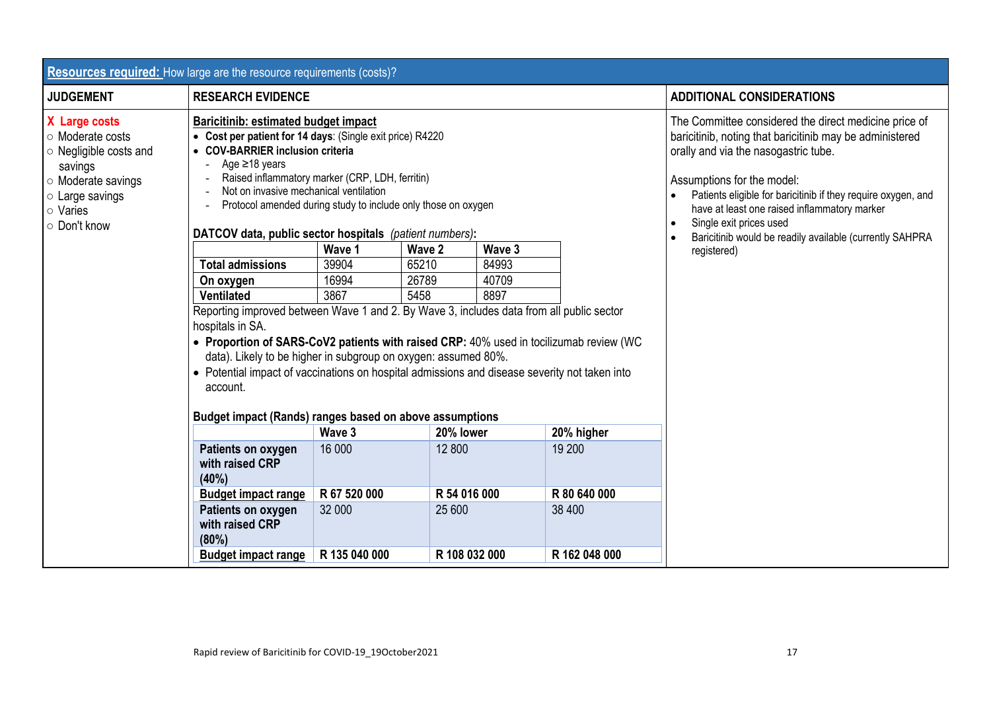| <b>Resources required:</b> How large are the resource requirements (costs)?                                                                       |                                                                                                                                                                                                                                                                                                                                                                                                                                                  |                                                                                                                                      |               |                                                                                                                                                                                                                                                                                                                                                                                                 |               |                                  |  |
|---------------------------------------------------------------------------------------------------------------------------------------------------|--------------------------------------------------------------------------------------------------------------------------------------------------------------------------------------------------------------------------------------------------------------------------------------------------------------------------------------------------------------------------------------------------------------------------------------------------|--------------------------------------------------------------------------------------------------------------------------------------|---------------|-------------------------------------------------------------------------------------------------------------------------------------------------------------------------------------------------------------------------------------------------------------------------------------------------------------------------------------------------------------------------------------------------|---------------|----------------------------------|--|
| <b>JUDGEMENT</b>                                                                                                                                  | <b>RESEARCH EVIDENCE</b>                                                                                                                                                                                                                                                                                                                                                                                                                         |                                                                                                                                      |               |                                                                                                                                                                                                                                                                                                                                                                                                 |               | <b>ADDITIONAL CONSIDERATIONS</b> |  |
| X Large costs<br>○ Moderate costs<br>○ Negligible costs and<br>savings<br>○ Moderate savings<br>$\circ$ Large savings<br>○ Varies<br>○ Don't know | <b>Baricitinib: estimated budget impact</b><br>• Cost per patient for 14 days: (Single exit price) R4220<br>• COV-BARRIER inclusion criteria<br>Age $\geq$ 18 years<br>Not on invasive mechanical ventilation<br>DATCOV data, public sector hospitals (patient numbers):                                                                                                                                                                         | Raised inflammatory marker (CRP, LDH, ferritin)<br>Protocol amended during study to include only those on oxygen<br>Wave 1<br>Wave 2 |               | The Committee considered the direct medicine price of<br>baricitinib, noting that baricitinib may be administered<br>orally and via the nasogastric tube.<br>Assumptions for the model:<br>Patients eligible for baricitinib if they require oxygen, and<br>have at least one raised inflammatory marker<br>Single exit prices used<br>Baricitinib would be readily available (currently SAHPRA |               |                                  |  |
|                                                                                                                                                   | <b>Total admissions</b>                                                                                                                                                                                                                                                                                                                                                                                                                          | 39904                                                                                                                                | 65210         | Wave 3<br>84993                                                                                                                                                                                                                                                                                                                                                                                 |               | registered)                      |  |
|                                                                                                                                                   | On oxygen                                                                                                                                                                                                                                                                                                                                                                                                                                        | 16994                                                                                                                                | 26789         | 40709                                                                                                                                                                                                                                                                                                                                                                                           |               |                                  |  |
|                                                                                                                                                   | <b>Ventilated</b>                                                                                                                                                                                                                                                                                                                                                                                                                                | 3867                                                                                                                                 | 5458          | 8897                                                                                                                                                                                                                                                                                                                                                                                            |               |                                  |  |
|                                                                                                                                                   | Reporting improved between Wave 1 and 2. By Wave 3, includes data from all public sector<br>hospitals in SA.<br>• Proportion of SARS-CoV2 patients with raised CRP: 40% used in tocilizumab review (WC<br>data). Likely to be higher in subgroup on oxygen: assumed 80%.<br>• Potential impact of vaccinations on hospital admissions and disease severity not taken into<br>account.<br>Budget impact (Rands) ranges based on above assumptions |                                                                                                                                      |               |                                                                                                                                                                                                                                                                                                                                                                                                 |               |                                  |  |
|                                                                                                                                                   |                                                                                                                                                                                                                                                                                                                                                                                                                                                  | Wave 3                                                                                                                               | 20% lower     |                                                                                                                                                                                                                                                                                                                                                                                                 | 20% higher    |                                  |  |
|                                                                                                                                                   | Patients on oxygen<br>with raised CRP<br>(40%)                                                                                                                                                                                                                                                                                                                                                                                                   | 16 000                                                                                                                               | 12 800        |                                                                                                                                                                                                                                                                                                                                                                                                 | 19 200        |                                  |  |
|                                                                                                                                                   | <b>Budget impact range</b>                                                                                                                                                                                                                                                                                                                                                                                                                       | R 67 520 000                                                                                                                         | R 54 016 000  |                                                                                                                                                                                                                                                                                                                                                                                                 | R 80 640 000  |                                  |  |
|                                                                                                                                                   | Patients on oxygen<br>with raised CRP<br>(80%)                                                                                                                                                                                                                                                                                                                                                                                                   | 32 000                                                                                                                               | 25 600        |                                                                                                                                                                                                                                                                                                                                                                                                 | 38 400        |                                  |  |
|                                                                                                                                                   | <b>Budget impact range</b>                                                                                                                                                                                                                                                                                                                                                                                                                       | R 135 040 000                                                                                                                        | R 108 032 000 |                                                                                                                                                                                                                                                                                                                                                                                                 | R 162 048 000 |                                  |  |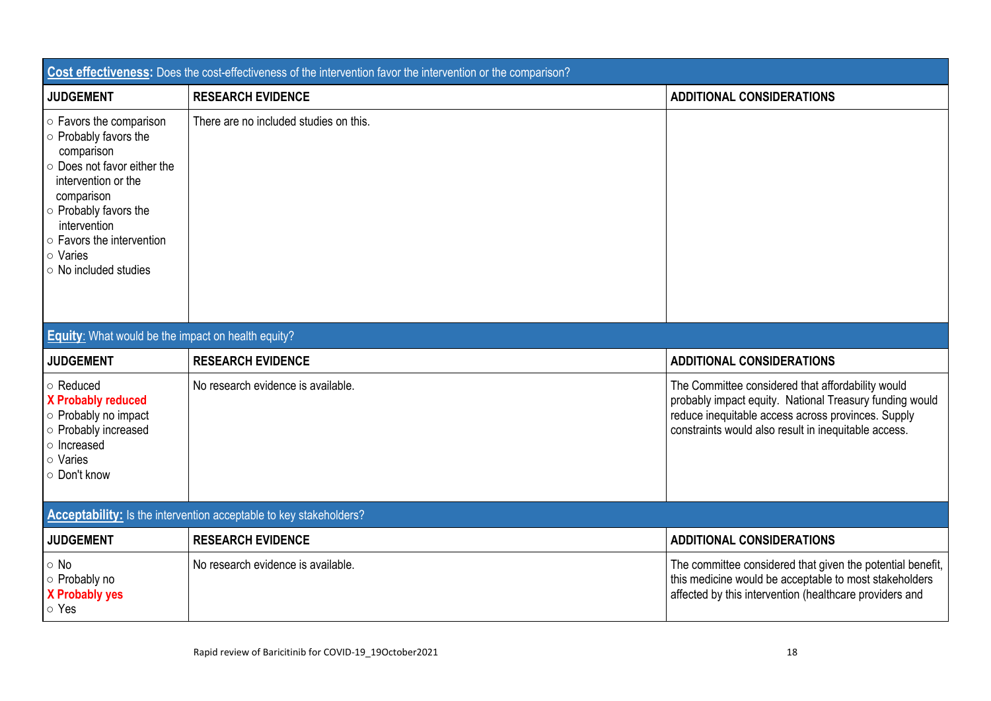| Cost effectiveness: Does the cost-effectiveness of the intervention favor the intervention or the comparison?                                                                                                                                             |                                        |                                                                                                                                                                                                                            |  |  |
|-----------------------------------------------------------------------------------------------------------------------------------------------------------------------------------------------------------------------------------------------------------|----------------------------------------|----------------------------------------------------------------------------------------------------------------------------------------------------------------------------------------------------------------------------|--|--|
| <b>JUDGEMENT</b>                                                                                                                                                                                                                                          | <b>RESEARCH EVIDENCE</b>               | <b>ADDITIONAL CONSIDERATIONS</b>                                                                                                                                                                                           |  |  |
| ○ Favors the comparison<br>o Probably favors the<br>comparison<br>○ Does not favor either the<br>intervention or the<br>comparison<br>○ Probably favors the<br>intervention<br>$\circ$ Favors the intervention<br>o Varies<br>$\circ$ No included studies | There are no included studies on this. |                                                                                                                                                                                                                            |  |  |
| <b>Equity:</b> What would be the impact on health equity?                                                                                                                                                                                                 |                                        |                                                                                                                                                                                                                            |  |  |
| <b>JUDGEMENT</b>                                                                                                                                                                                                                                          | <b>RESEARCH EVIDENCE</b>               | <b>ADDITIONAL CONSIDERATIONS</b>                                                                                                                                                                                           |  |  |
| ○ Reduced<br><b>X Probably reduced</b><br>o Probably no impact<br>o Probably increased<br>o Increased<br>○ Varies<br>○ Don't know                                                                                                                         | No research evidence is available.     | The Committee considered that affordability would<br>probably impact equity. National Treasury funding would<br>reduce inequitable access across provinces. Supply<br>constraints would also result in inequitable access. |  |  |
| Acceptability: Is the intervention acceptable to key stakeholders?                                                                                                                                                                                        |                                        |                                                                                                                                                                                                                            |  |  |
| <b>JUDGEMENT</b>                                                                                                                                                                                                                                          | <b>RESEARCH EVIDENCE</b>               | <b>ADDITIONAL CONSIDERATIONS</b>                                                                                                                                                                                           |  |  |
| $\circ$ No<br>○ Probably no<br><b>X Probably yes</b><br>○ Yes                                                                                                                                                                                             | No research evidence is available.     | The committee considered that given the potential benefit,<br>this medicine would be acceptable to most stakeholders<br>affected by this intervention (healthcare providers and                                            |  |  |